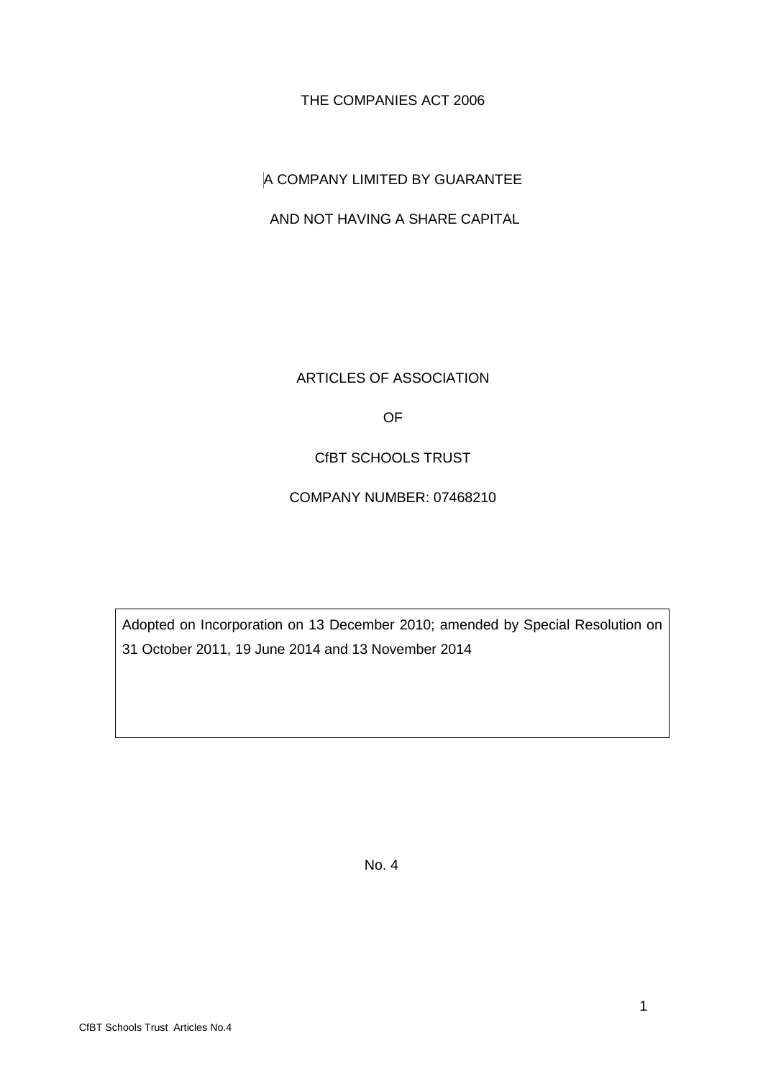THE COMPANIES ACT 2006

A COMPANY LIMITED BY GUARANTEE

AND NOT HAVING A SHARE CAPITAL

ARTICLES OF ASSOCIATION

OF

CfBT SCHOOLS TRUST

COMPANY NUMBER: 07468210

Adopted on Incorporation on 13 December 2010; amended by Special Resolution on 31 October 2011, 19 June 2014 and 13 November 2014

No. 4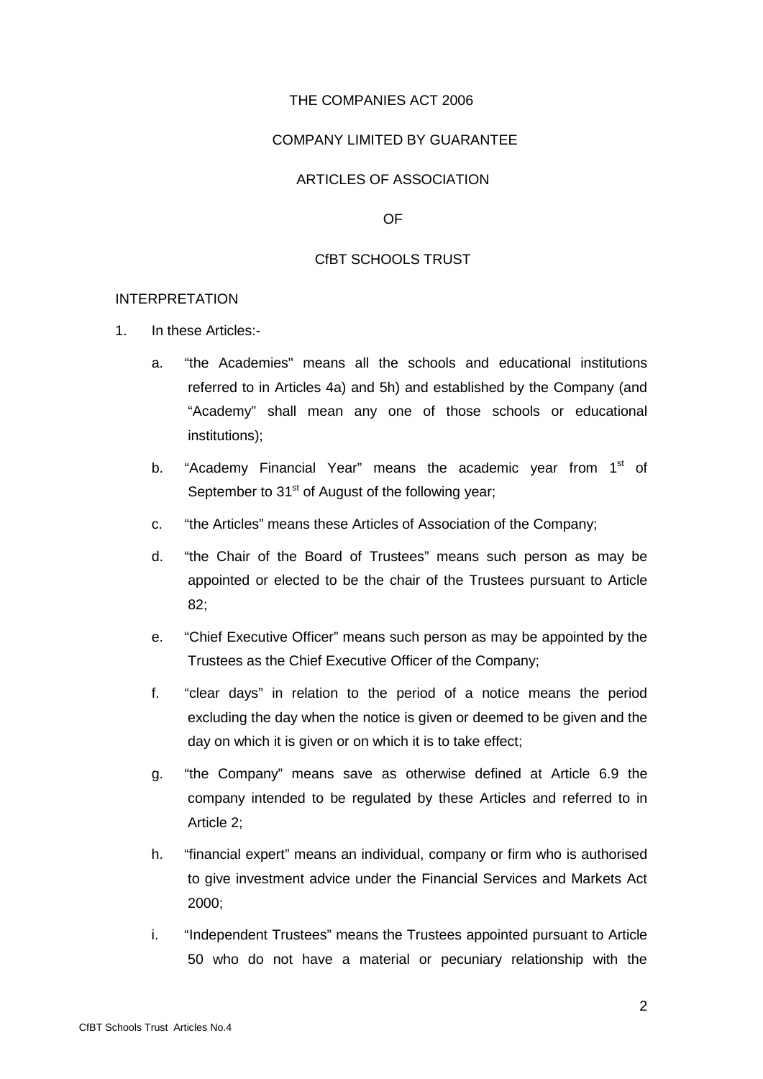### THE COMPANIES ACT 2006

### COMPANY LIMITED BY GUARANTEE

# ARTICLES OF ASSOCIATION

OF

### CfBT SCHOOLS TRUST

#### INTERPRETATION

- 1. In these Articles:
	- a. "the Academies" means all the schools and educational institutions referred to in Articles 4a) and 5h) and established by the Company (and "Academy" shall mean any one of those schools or educational institutions);
	- b. "Academy Financial Year" means the academic year from  $1<sup>st</sup>$  of September to  $31<sup>st</sup>$  of August of the following year;
	- c. "the Articles" means these Articles of Association of the Company;
	- d. "the Chair of the Board of Trustees" means such person as may be appointed or elected to be the chair of the Trustees pursuant to Article 82;
	- e. "Chief Executive Officer" means such person as may be appointed by the Trustees as the Chief Executive Officer of the Company;
	- f. "clear days" in relation to the period of a notice means the period excluding the day when the notice is given or deemed to be given and the day on which it is given or on which it is to take effect;
	- g. "the Company" means save as otherwise defined at Article 6.9 the company intended to be regulated by these Articles and referred to in Article 2;
	- h. "financial expert" means an individual, company or firm who is authorised to give investment advice under the Financial Services and Markets Act 2000;
	- i. "Independent Trustees" means the Trustees appointed pursuant to Article 50 who do not have a material or pecuniary relationship with the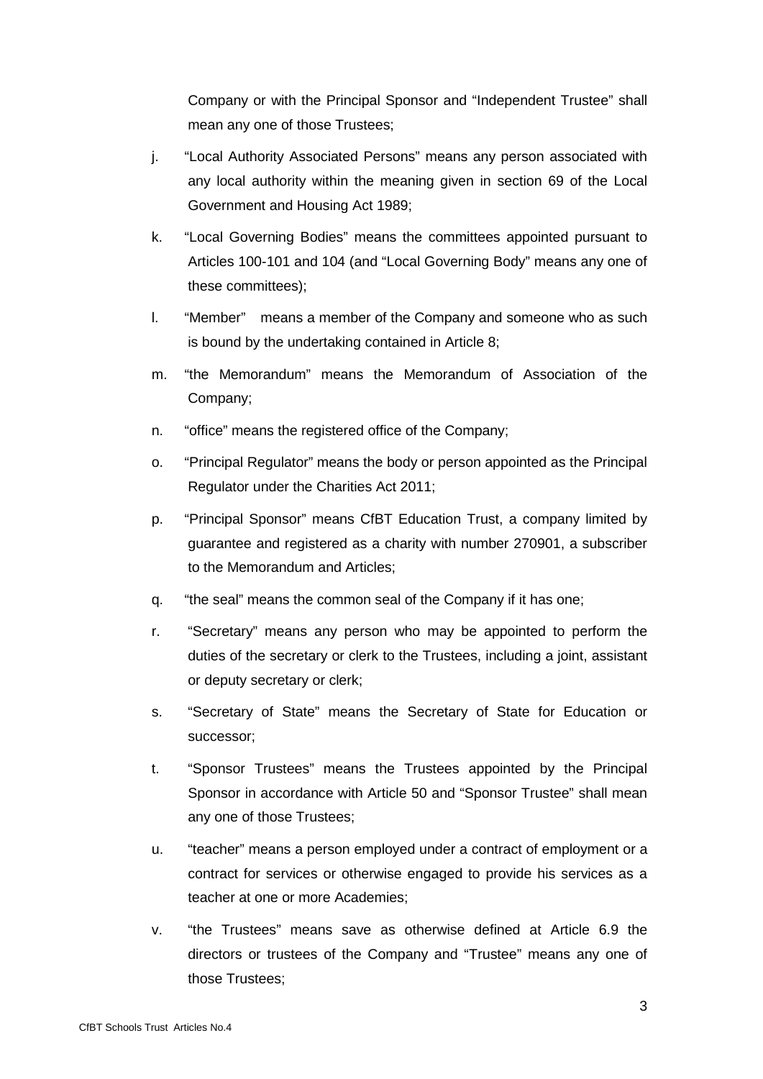Company or with the Principal Sponsor and "Independent Trustee" shall mean any one of those Trustees;

- j. "Local Authority Associated Persons" means any person associated with any local authority within the meaning given in section 69 of the Local Government and Housing Act 1989;
- k. "Local Governing Bodies" means the committees appointed pursuant to Articles 100-101 and 104 (and "Local Governing Body" means any one of these committees);
- l. "Member" means a member of the Company and someone who as such is bound by the undertaking contained in Article 8;
- m. "the Memorandum" means the Memorandum of Association of the Company;
- n. "office" means the registered office of the Company;
- o. "Principal Regulator" means the body or person appointed as the Principal Regulator under the Charities Act 2011;
- p. "Principal Sponsor" means CfBT Education Trust, a company limited by guarantee and registered as a charity with number 270901, a subscriber to the Memorandum and Articles;
- q. "the seal" means the common seal of the Company if it has one;
- r. "Secretary" means any person who may be appointed to perform the duties of the secretary or clerk to the Trustees, including a joint, assistant or deputy secretary or clerk;
- s. "Secretary of State" means the Secretary of State for Education or successor;
- t. "Sponsor Trustees" means the Trustees appointed by the Principal Sponsor in accordance with Article 50 and "Sponsor Trustee" shall mean any one of those Trustees;
- u. "teacher" means a person employed under a contract of employment or a contract for services or otherwise engaged to provide his services as a teacher at one or more Academies;
- v. "the Trustees" means save as otherwise defined at Article 6.9 the directors or trustees of the Company and "Trustee" means any one of those Trustees;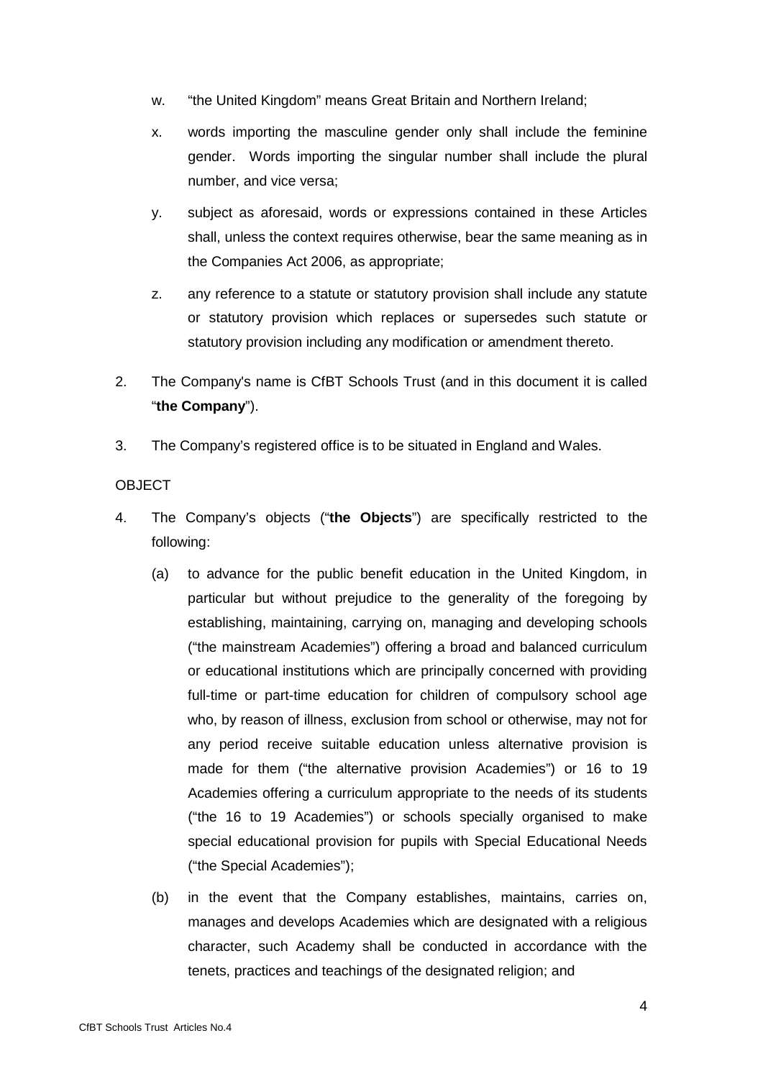- w. "the United Kingdom" means Great Britain and Northern Ireland;
- x. words importing the masculine gender only shall include the feminine gender. Words importing the singular number shall include the plural number, and vice versa;
- y. subject as aforesaid, words or expressions contained in these Articles shall, unless the context requires otherwise, bear the same meaning as in the Companies Act 2006, as appropriate;
- z. any reference to a statute or statutory provision shall include any statute or statutory provision which replaces or supersedes such statute or statutory provision including any modification or amendment thereto.
- 2. The Company's name is CfBT Schools Trust (and in this document it is called "**the Company**").
- 3. The Company's registered office is to be situated in England and Wales.

# **OBJECT**

- 4. The Company's objects ("**the Objects**") are specifically restricted to the following:
	- (a) to advance for the public benefit education in the United Kingdom, in particular but without prejudice to the generality of the foregoing by establishing, maintaining, carrying on, managing and developing schools ("the mainstream Academies") offering a broad and balanced curriculum or educational institutions which are principally concerned with providing full-time or part-time education for children of compulsory school age who, by reason of illness, exclusion from school or otherwise, may not for any period receive suitable education unless alternative provision is made for them ("the alternative provision Academies") or 16 to 19 Academies offering a curriculum appropriate to the needs of its students ("the 16 to 19 Academies") or schools specially organised to make special educational provision for pupils with Special Educational Needs ("the Special Academies");
	- (b) in the event that the Company establishes, maintains, carries on, manages and develops Academies which are designated with a religious character, such Academy shall be conducted in accordance with the tenets, practices and teachings of the designated religion; and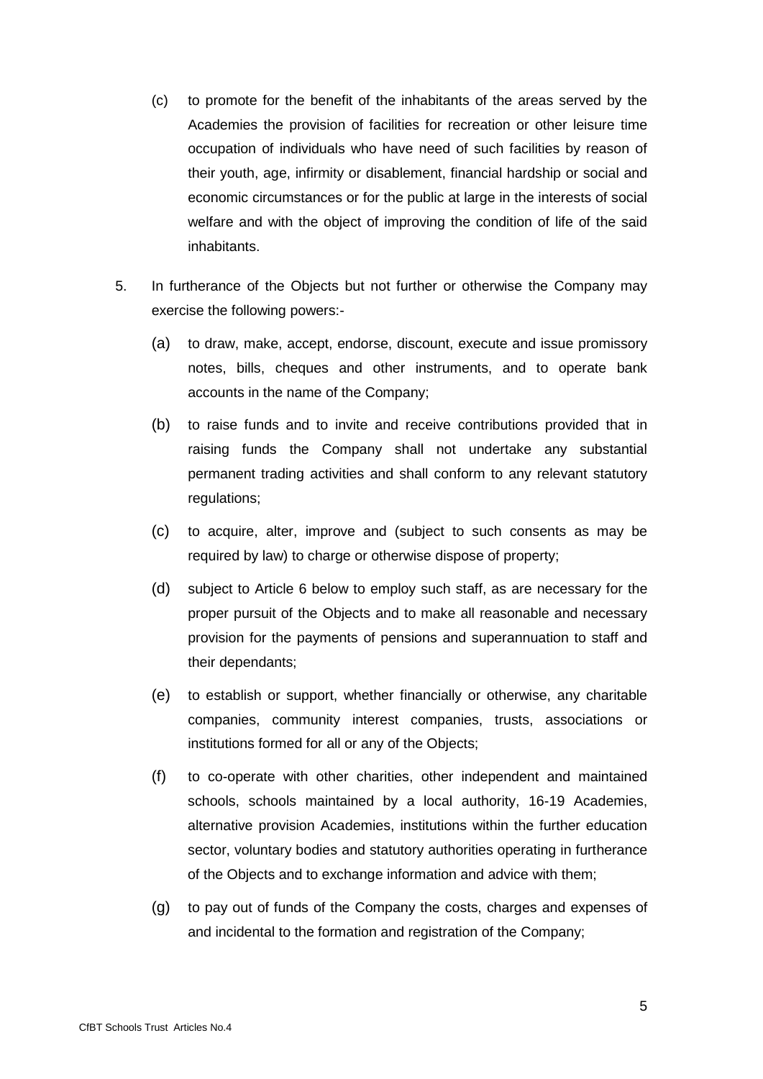- (c) to promote for the benefit of the inhabitants of the areas served by the Academies the provision of facilities for recreation or other leisure time occupation of individuals who have need of such facilities by reason of their youth, age, infirmity or disablement, financial hardship or social and economic circumstances or for the public at large in the interests of social welfare and with the object of improving the condition of life of the said inhabitants.
- 5. In furtherance of the Objects but not further or otherwise the Company may exercise the following powers:-
	- (a) to draw, make, accept, endorse, discount, execute and issue promissory notes, bills, cheques and other instruments, and to operate bank accounts in the name of the Company;
	- (b) to raise funds and to invite and receive contributions provided that in raising funds the Company shall not undertake any substantial permanent trading activities and shall conform to any relevant statutory regulations;
	- (c) to acquire, alter, improve and (subject to such consents as may be required by law) to charge or otherwise dispose of property;
	- (d) subject to Article 6 below to employ such staff, as are necessary for the proper pursuit of the Objects and to make all reasonable and necessary provision for the payments of pensions and superannuation to staff and their dependants;
	- (e) to establish or support, whether financially or otherwise, any charitable companies, community interest companies, trusts, associations or institutions formed for all or any of the Objects;
	- (f) to co-operate with other charities, other independent and maintained schools, schools maintained by a local authority, 16-19 Academies, alternative provision Academies, institutions within the further education sector, voluntary bodies and statutory authorities operating in furtherance of the Objects and to exchange information and advice with them;
	- (g) to pay out of funds of the Company the costs, charges and expenses of and incidental to the formation and registration of the Company;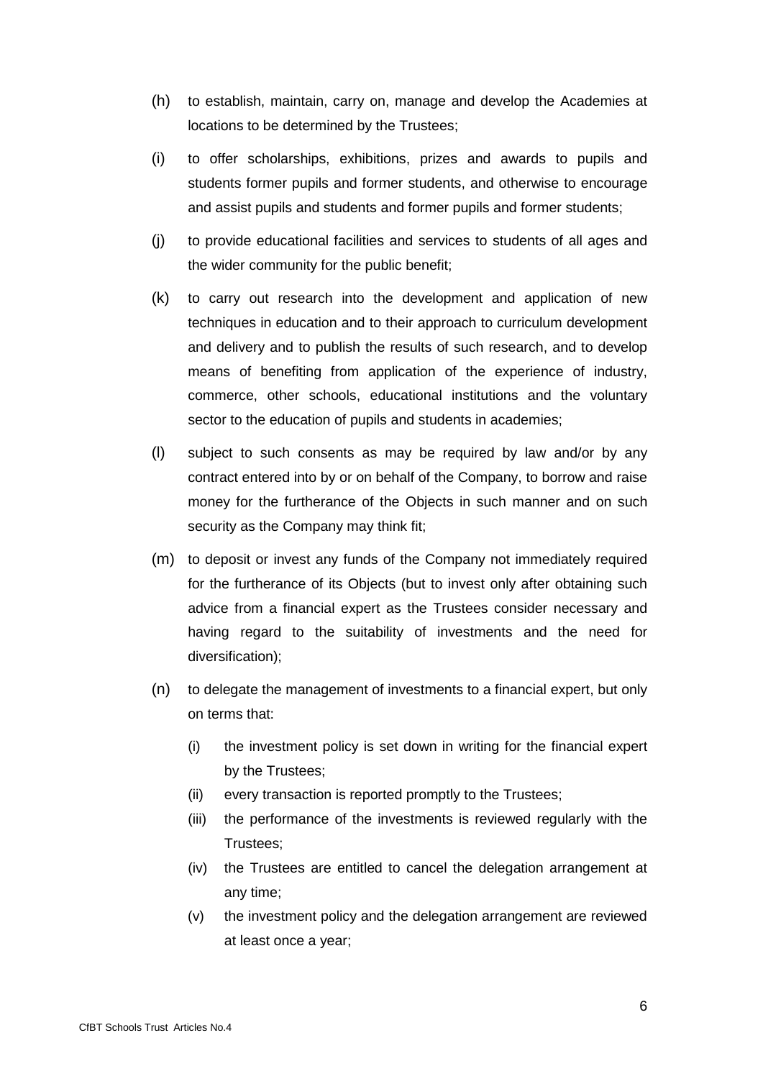- (h) to establish, maintain, carry on, manage and develop the Academies at locations to be determined by the Trustees;
- (i) to offer scholarships, exhibitions, prizes and awards to pupils and students former pupils and former students, and otherwise to encourage and assist pupils and students and former pupils and former students;
- (j) to provide educational facilities and services to students of all ages and the wider community for the public benefit;
- (k) to carry out research into the development and application of new techniques in education and to their approach to curriculum development and delivery and to publish the results of such research, and to develop means of benefiting from application of the experience of industry, commerce, other schools, educational institutions and the voluntary sector to the education of pupils and students in academies;
- (l) subject to such consents as may be required by law and/or by any contract entered into by or on behalf of the Company, to borrow and raise money for the furtherance of the Objects in such manner and on such security as the Company may think fit;
- (m) to deposit or invest any funds of the Company not immediately required for the furtherance of its Objects (but to invest only after obtaining such advice from a financial expert as the Trustees consider necessary and having regard to the suitability of investments and the need for diversification);
- (n) to delegate the management of investments to a financial expert, but only on terms that:
	- (i) the investment policy is set down in writing for the financial expert by the Trustees;
	- (ii) every transaction is reported promptly to the Trustees;
	- (iii) the performance of the investments is reviewed regularly with the Trustees;
	- (iv) the Trustees are entitled to cancel the delegation arrangement at any time;
	- (v) the investment policy and the delegation arrangement are reviewed at least once a year;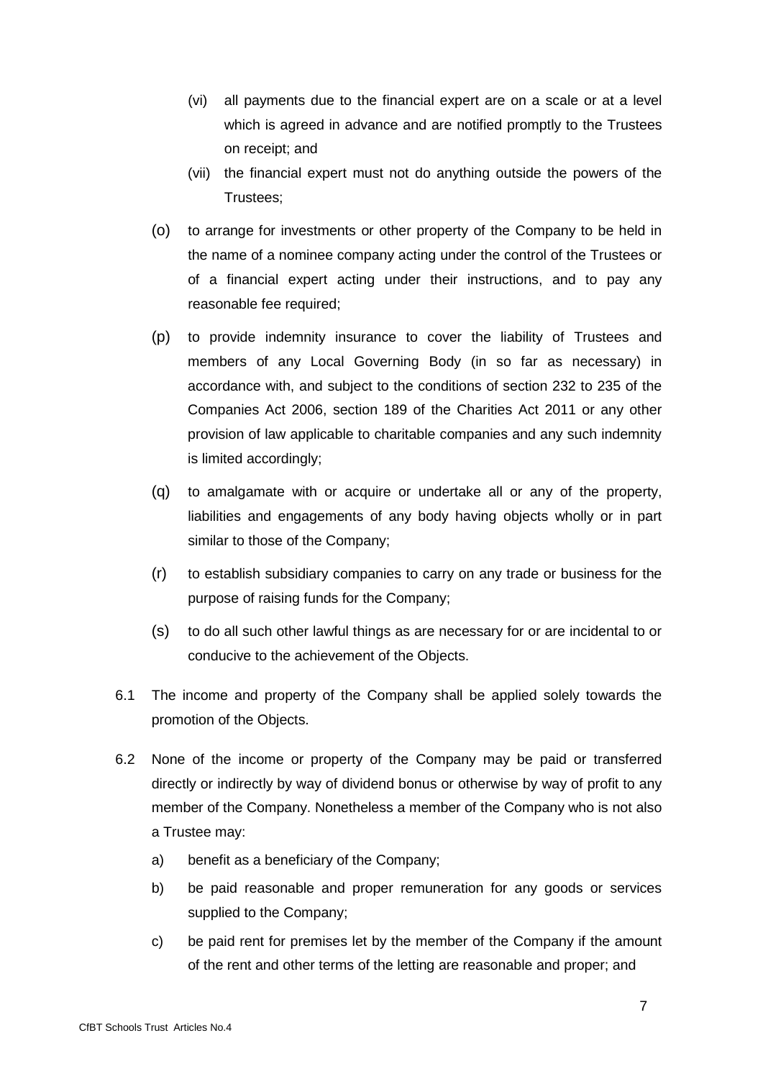- (vi) all payments due to the financial expert are on a scale or at a level which is agreed in advance and are notified promptly to the Trustees on receipt; and
- (vii) the financial expert must not do anything outside the powers of the Trustees;
- (o) to arrange for investments or other property of the Company to be held in the name of a nominee company acting under the control of the Trustees or of a financial expert acting under their instructions, and to pay any reasonable fee required:
- (p) to provide indemnity insurance to cover the liability of Trustees and members of any Local Governing Body (in so far as necessary) in accordance with, and subject to the conditions of section 232 to 235 of the Companies Act 2006, section 189 of the Charities Act 2011 or any other provision of law applicable to charitable companies and any such indemnity is limited accordingly;
- (q) to amalgamate with or acquire or undertake all or any of the property, liabilities and engagements of any body having objects wholly or in part similar to those of the Company;
- (r) to establish subsidiary companies to carry on any trade or business for the purpose of raising funds for the Company;
- (s) to do all such other lawful things as are necessary for or are incidental to or conducive to the achievement of the Objects.
- 6.1 The income and property of the Company shall be applied solely towards the promotion of the Objects.
- 6.2 None of the income or property of the Company may be paid or transferred directly or indirectly by way of dividend bonus or otherwise by way of profit to any member of the Company. Nonetheless a member of the Company who is not also a Trustee may:
	- a) benefit as a beneficiary of the Company;
	- b) be paid reasonable and proper remuneration for any goods or services supplied to the Company;
	- c) be paid rent for premises let by the member of the Company if the amount of the rent and other terms of the letting are reasonable and proper; and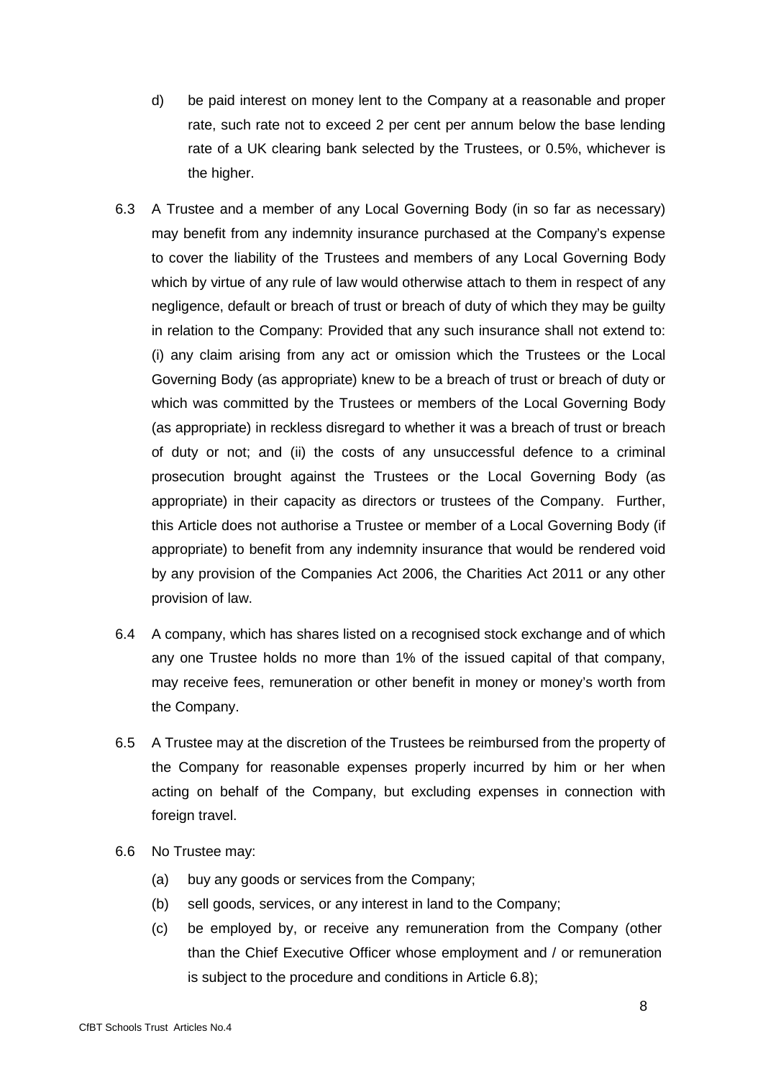- d) be paid interest on money lent to the Company at a reasonable and proper rate, such rate not to exceed 2 per cent per annum below the base lending rate of a UK clearing bank selected by the Trustees, or 0.5%, whichever is the higher.
- 6.3 A Trustee and a member of any Local Governing Body (in so far as necessary) may benefit from any indemnity insurance purchased at the Company's expense to cover the liability of the Trustees and members of any Local Governing Body which by virtue of any rule of law would otherwise attach to them in respect of any negligence, default or breach of trust or breach of duty of which they may be guilty in relation to the Company: Provided that any such insurance shall not extend to: (i) any claim arising from any act or omission which the Trustees or the Local Governing Body (as appropriate) knew to be a breach of trust or breach of duty or which was committed by the Trustees or members of the Local Governing Body (as appropriate) in reckless disregard to whether it was a breach of trust or breach of duty or not; and (ii) the costs of any unsuccessful defence to a criminal prosecution brought against the Trustees or the Local Governing Body (as appropriate) in their capacity as directors or trustees of the Company. Further, this Article does not authorise a Trustee or member of a Local Governing Body (if appropriate) to benefit from any indemnity insurance that would be rendered void by any provision of the Companies Act 2006, the Charities Act 2011 or any other provision of law.
- 6.4 A company, which has shares listed on a recognised stock exchange and of which any one Trustee holds no more than 1% of the issued capital of that company, may receive fees, remuneration or other benefit in money or money's worth from the Company.
- 6.5 A Trustee may at the discretion of the Trustees be reimbursed from the property of the Company for reasonable expenses properly incurred by him or her when acting on behalf of the Company, but excluding expenses in connection with foreign travel.
- 6.6 No Trustee may:
	- (a) buy any goods or services from the Company;
	- (b) sell goods, services, or any interest in land to the Company;
	- (c) be employed by, or receive any remuneration from the Company (other than the Chief Executive Officer whose employment and / or remuneration is subject to the procedure and conditions in Article 6.8);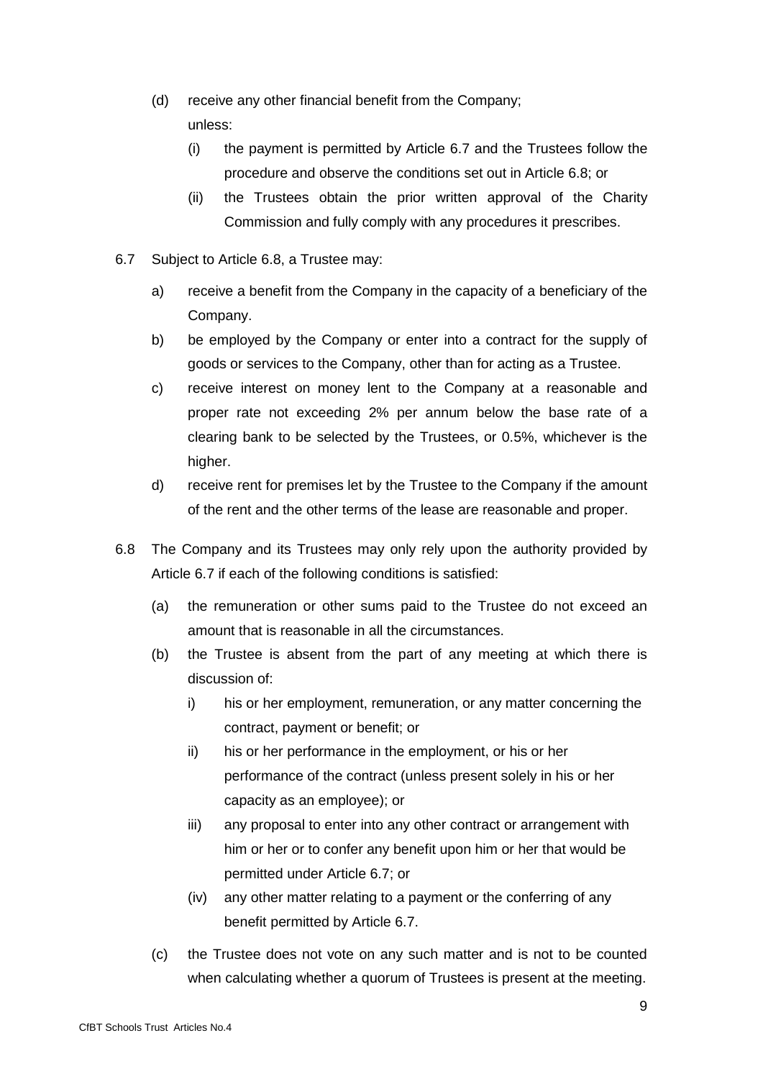- (d) receive any other financial benefit from the Company; unless:
	- (i) the payment is permitted by Article 6.7 and the Trustees follow the procedure and observe the conditions set out in Article 6.8; or
	- (ii) the Trustees obtain the prior written approval of the Charity Commission and fully comply with any procedures it prescribes.
- 6.7 Subject to Article 6.8, a Trustee may:
	- a) receive a benefit from the Company in the capacity of a beneficiary of the Company.
	- b) be employed by the Company or enter into a contract for the supply of goods or services to the Company, other than for acting as a Trustee.
	- c) receive interest on money lent to the Company at a reasonable and proper rate not exceeding 2% per annum below the base rate of a clearing bank to be selected by the Trustees, or 0.5%, whichever is the higher.
	- d) receive rent for premises let by the Trustee to the Company if the amount of the rent and the other terms of the lease are reasonable and proper.
- 6.8 The Company and its Trustees may only rely upon the authority provided by Article 6.7 if each of the following conditions is satisfied:
	- (a) the remuneration or other sums paid to the Trustee do not exceed an amount that is reasonable in all the circumstances.
	- (b) the Trustee is absent from the part of any meeting at which there is discussion of:
		- i) his or her employment, remuneration, or any matter concerning the contract, payment or benefit; or
		- ii) his or her performance in the employment, or his or her performance of the contract (unless present solely in his or her capacity as an employee); or
		- iii) any proposal to enter into any other contract or arrangement with him or her or to confer any benefit upon him or her that would be permitted under Article 6.7; or
		- (iv) any other matter relating to a payment or the conferring of any benefit permitted by Article 6.7.
	- (c) the Trustee does not vote on any such matter and is not to be counted when calculating whether a quorum of Trustees is present at the meeting.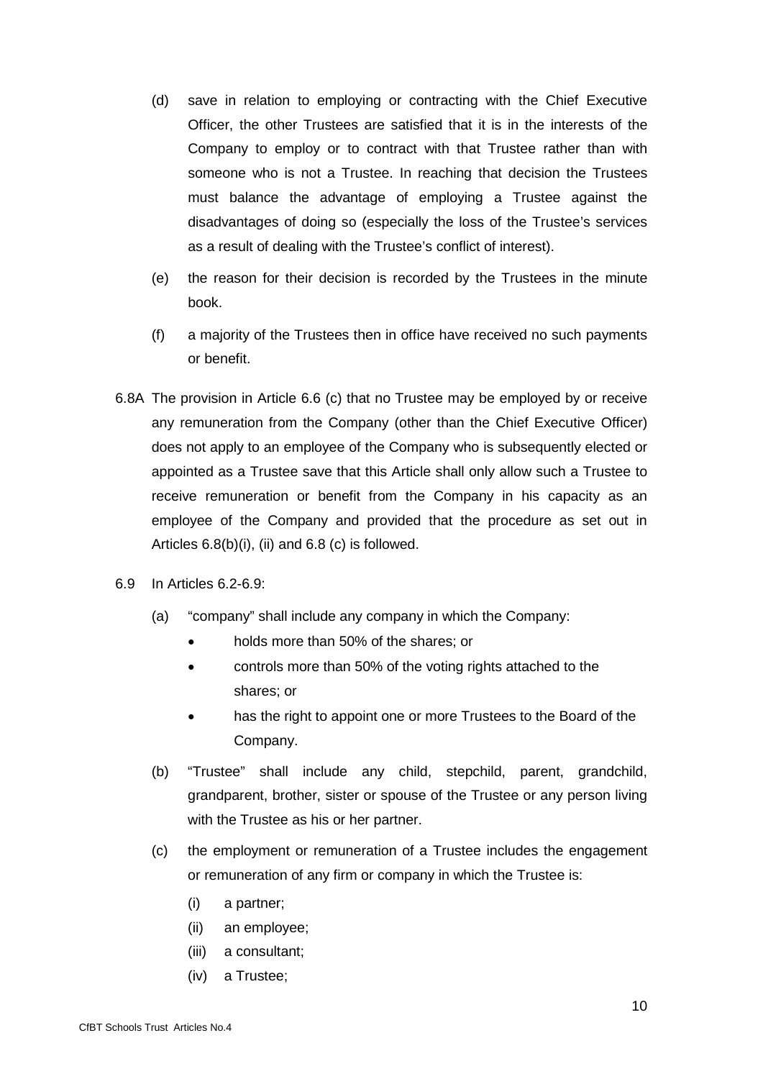- (d) save in relation to employing or contracting with the Chief Executive Officer, the other Trustees are satisfied that it is in the interests of the Company to employ or to contract with that Trustee rather than with someone who is not a Trustee. In reaching that decision the Trustees must balance the advantage of employing a Trustee against the disadvantages of doing so (especially the loss of the Trustee's services as a result of dealing with the Trustee's conflict of interest).
- (e) the reason for their decision is recorded by the Trustees in the minute book.
- (f) a majority of the Trustees then in office have received no such payments or benefit.
- 6.8A The provision in Article 6.6 (c) that no Trustee may be employed by or receive any remuneration from the Company (other than the Chief Executive Officer) does not apply to an employee of the Company who is subsequently elected or appointed as a Trustee save that this Article shall only allow such a Trustee to receive remuneration or benefit from the Company in his capacity as an employee of the Company and provided that the procedure as set out in Articles 6.8(b)(i), (ii) and 6.8 (c) is followed.
- 6.9 In Articles 6.2-6.9:
	- (a) "company" shall include any company in which the Company:
		- holds more than 50% of the shares; or
		- controls more than 50% of the voting rights attached to the shares; or
		- has the right to appoint one or more Trustees to the Board of the Company.
	- (b) "Trustee" shall include any child, stepchild, parent, grandchild, grandparent, brother, sister or spouse of the Trustee or any person living with the Trustee as his or her partner.
	- (c) the employment or remuneration of a Trustee includes the engagement or remuneration of any firm or company in which the Trustee is:
		- (i) a partner;
		- (ii) an employee;
		- (iii) a consultant;
		- (iv) a Trustee;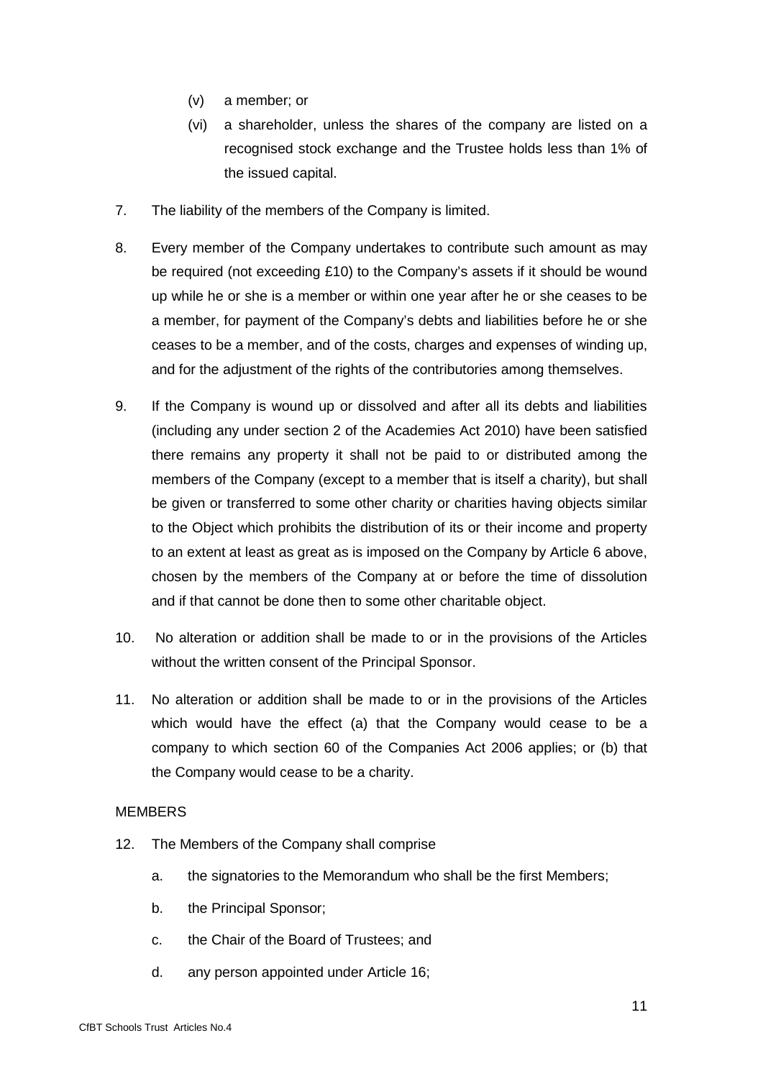- (v) a member; or
- (vi) a shareholder, unless the shares of the company are listed on a recognised stock exchange and the Trustee holds less than 1% of the issued capital.
- 7. The liability of the members of the Company is limited.
- 8. Every member of the Company undertakes to contribute such amount as may be required (not exceeding £10) to the Company's assets if it should be wound up while he or she is a member or within one year after he or she ceases to be a member, for payment of the Company's debts and liabilities before he or she ceases to be a member, and of the costs, charges and expenses of winding up, and for the adjustment of the rights of the contributories among themselves.
- 9. If the Company is wound up or dissolved and after all its debts and liabilities (including any under section 2 of the Academies Act 2010) have been satisfied there remains any property it shall not be paid to or distributed among the members of the Company (except to a member that is itself a charity), but shall be given or transferred to some other charity or charities having objects similar to the Object which prohibits the distribution of its or their income and property to an extent at least as great as is imposed on the Company by Article 6 above, chosen by the members of the Company at or before the time of dissolution and if that cannot be done then to some other charitable object.
- 10. No alteration or addition shall be made to or in the provisions of the Articles without the written consent of the Principal Sponsor.
- 11. No alteration or addition shall be made to or in the provisions of the Articles which would have the effect (a) that the Company would cease to be a company to which section 60 of the Companies Act 2006 applies; or (b) that the Company would cease to be a charity.

# **MEMBERS**

- 12. The Members of the Company shall comprise
	- a. the signatories to the Memorandum who shall be the first Members;
	- b. the Principal Sponsor;
	- c. the Chair of the Board of Trustees; and
	- d. any person appointed under Article 16;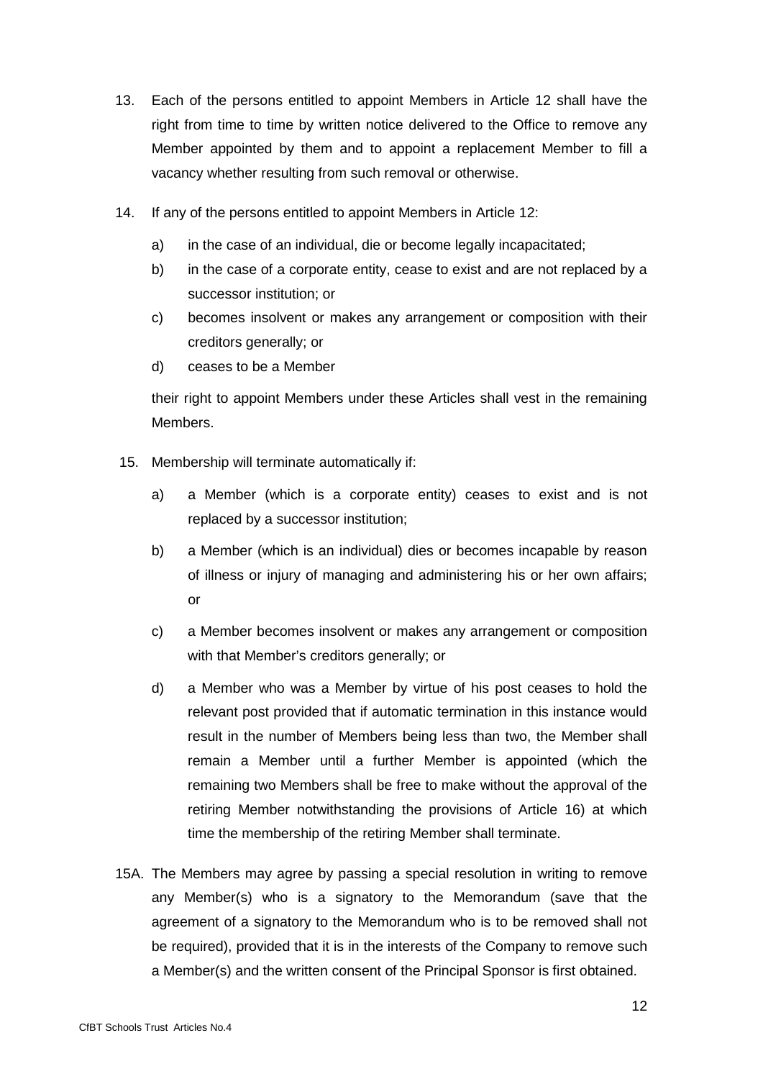- 13. Each of the persons entitled to appoint Members in Article 12 shall have the right from time to time by written notice delivered to the Office to remove any Member appointed by them and to appoint a replacement Member to fill a vacancy whether resulting from such removal or otherwise.
- 14. If any of the persons entitled to appoint Members in Article 12:
	- a) in the case of an individual, die or become legally incapacitated;
	- b) in the case of a corporate entity, cease to exist and are not replaced by a successor institution; or
	- c) becomes insolvent or makes any arrangement or composition with their creditors generally; or
	- d) ceases to be a Member

their right to appoint Members under these Articles shall vest in the remaining Members.

- 15. Membership will terminate automatically if:
	- a) a Member (which is a corporate entity) ceases to exist and is not replaced by a successor institution;
	- b) a Member (which is an individual) dies or becomes incapable by reason of illness or injury of managing and administering his or her own affairs; or
	- c) a Member becomes insolvent or makes any arrangement or composition with that Member's creditors generally; or
	- d) a Member who was a Member by virtue of his post ceases to hold the relevant post provided that if automatic termination in this instance would result in the number of Members being less than two, the Member shall remain a Member until a further Member is appointed (which the remaining two Members shall be free to make without the approval of the retiring Member notwithstanding the provisions of Article 16) at which time the membership of the retiring Member shall terminate.
- 15A. The Members may agree by passing a special resolution in writing to remove any Member(s) who is a signatory to the Memorandum (save that the agreement of a signatory to the Memorandum who is to be removed shall not be required), provided that it is in the interests of the Company to remove such a Member(s) and the written consent of the Principal Sponsor is first obtained.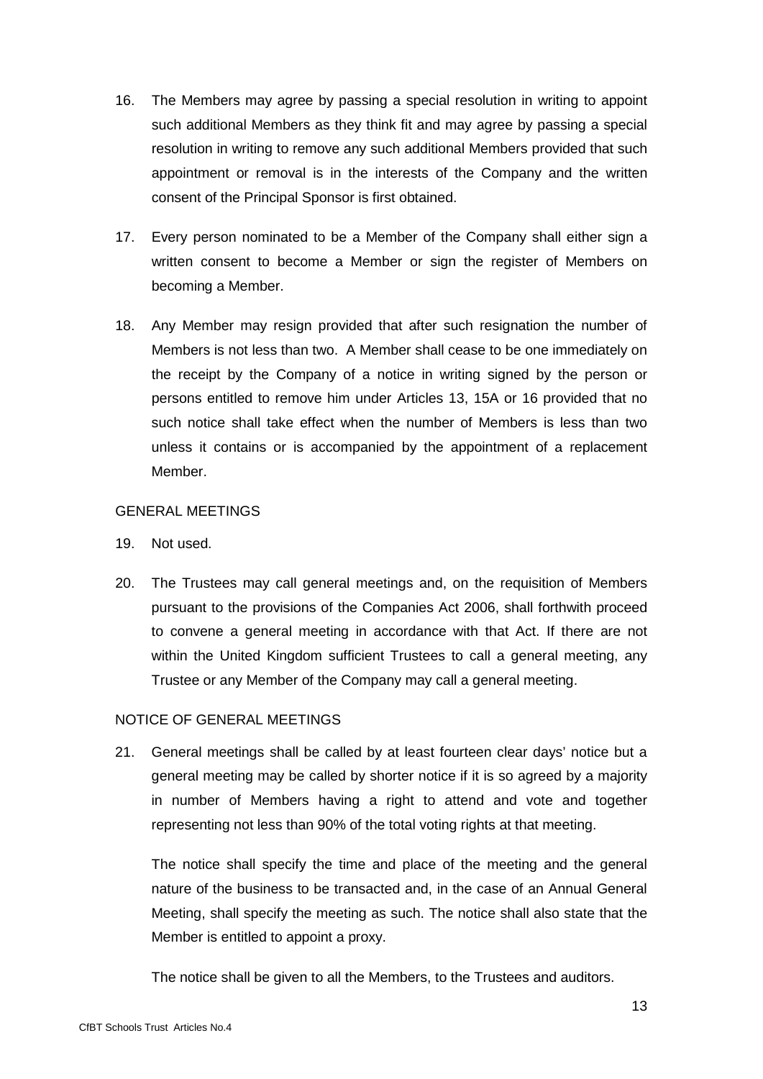- 16. The Members may agree by passing a special resolution in writing to appoint such additional Members as they think fit and may agree by passing a special resolution in writing to remove any such additional Members provided that such appointment or removal is in the interests of the Company and the written consent of the Principal Sponsor is first obtained.
- 17. Every person nominated to be a Member of the Company shall either sign a written consent to become a Member or sign the register of Members on becoming a Member.
- 18. Any Member may resign provided that after such resignation the number of Members is not less than two. A Member shall cease to be one immediately on the receipt by the Company of a notice in writing signed by the person or persons entitled to remove him under Articles 13, 15A or 16 provided that no such notice shall take effect when the number of Members is less than two unless it contains or is accompanied by the appointment of a replacement Member.

# GENERAL MEETINGS

- 19. Not used.
- 20. The Trustees may call general meetings and, on the requisition of Members pursuant to the provisions of the Companies Act 2006, shall forthwith proceed to convene a general meeting in accordance with that Act. If there are not within the United Kingdom sufficient Trustees to call a general meeting, any Trustee or any Member of the Company may call a general meeting.

# NOTICE OF GENERAL MEETINGS

21. General meetings shall be called by at least fourteen clear days' notice but a general meeting may be called by shorter notice if it is so agreed by a majority in number of Members having a right to attend and vote and together representing not less than 90% of the total voting rights at that meeting.

The notice shall specify the time and place of the meeting and the general nature of the business to be transacted and, in the case of an Annual General Meeting, shall specify the meeting as such. The notice shall also state that the Member is entitled to appoint a proxy.

The notice shall be given to all the Members, to the Trustees and auditors.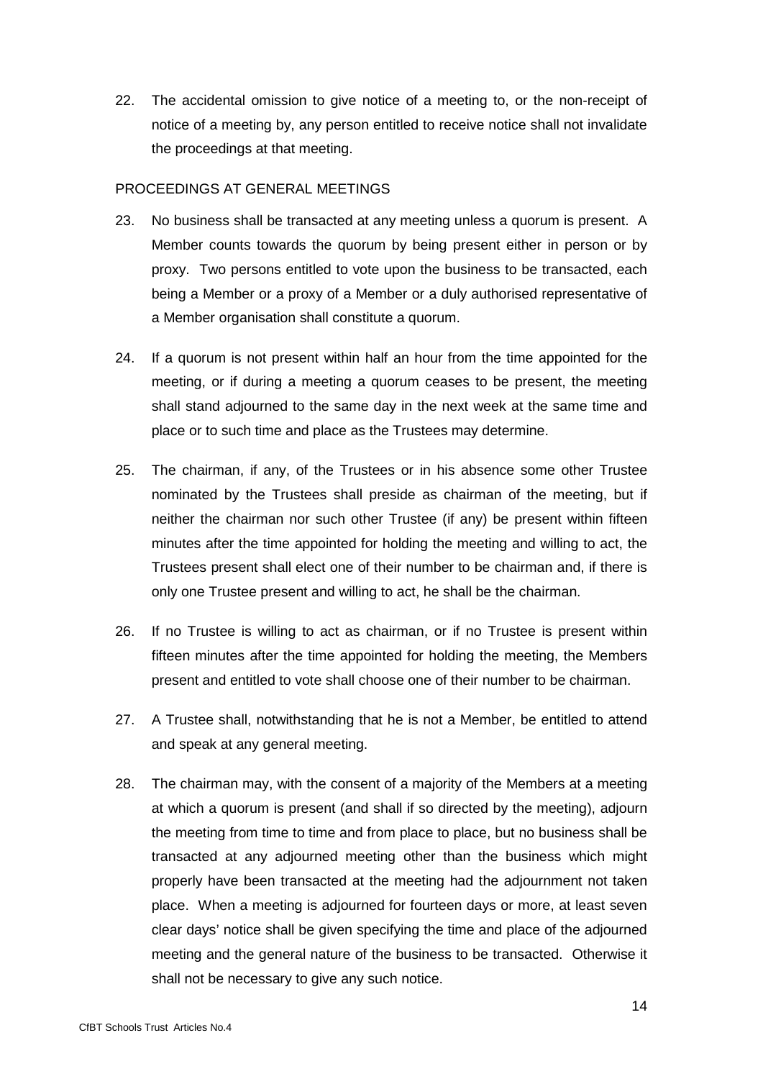22. The accidental omission to give notice of a meeting to, or the non-receipt of notice of a meeting by, any person entitled to receive notice shall not invalidate the proceedings at that meeting.

### PROCEEDINGS AT GENERAL MEETINGS

- 23. No business shall be transacted at any meeting unless a quorum is present. A Member counts towards the quorum by being present either in person or by proxy. Two persons entitled to vote upon the business to be transacted, each being a Member or a proxy of a Member or a duly authorised representative of a Member organisation shall constitute a quorum.
- 24. If a quorum is not present within half an hour from the time appointed for the meeting, or if during a meeting a quorum ceases to be present, the meeting shall stand adjourned to the same day in the next week at the same time and place or to such time and place as the Trustees may determine.
- 25. The chairman, if any, of the Trustees or in his absence some other Trustee nominated by the Trustees shall preside as chairman of the meeting, but if neither the chairman nor such other Trustee (if any) be present within fifteen minutes after the time appointed for holding the meeting and willing to act, the Trustees present shall elect one of their number to be chairman and, if there is only one Trustee present and willing to act, he shall be the chairman.
- 26. If no Trustee is willing to act as chairman, or if no Trustee is present within fifteen minutes after the time appointed for holding the meeting, the Members present and entitled to vote shall choose one of their number to be chairman.
- 27. A Trustee shall, notwithstanding that he is not a Member, be entitled to attend and speak at any general meeting.
- 28. The chairman may, with the consent of a majority of the Members at a meeting at which a quorum is present (and shall if so directed by the meeting), adjourn the meeting from time to time and from place to place, but no business shall be transacted at any adjourned meeting other than the business which might properly have been transacted at the meeting had the adjournment not taken place. When a meeting is adjourned for fourteen days or more, at least seven clear days' notice shall be given specifying the time and place of the adjourned meeting and the general nature of the business to be transacted. Otherwise it shall not be necessary to give any such notice.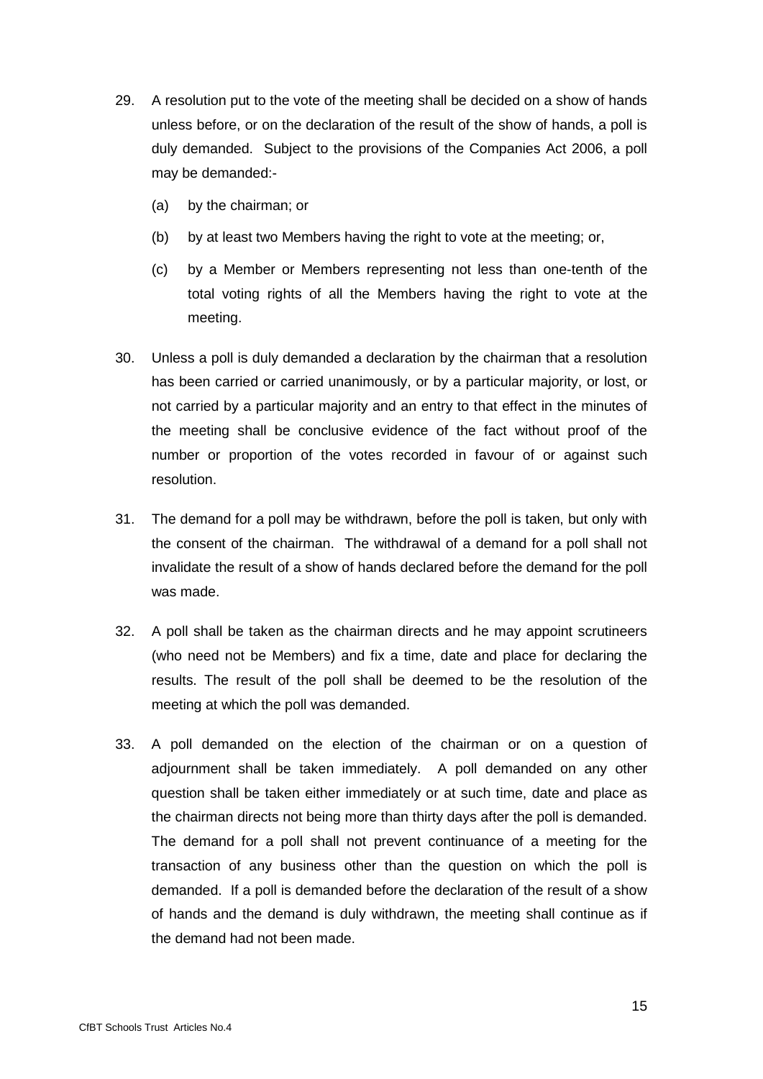- 29. A resolution put to the vote of the meeting shall be decided on a show of hands unless before, or on the declaration of the result of the show of hands, a poll is duly demanded. Subject to the provisions of the Companies Act 2006, a poll may be demanded:-
	- (a) by the chairman; or
	- (b) by at least two Members having the right to vote at the meeting; or,
	- (c) by a Member or Members representing not less than one-tenth of the total voting rights of all the Members having the right to vote at the meeting.
- 30. Unless a poll is duly demanded a declaration by the chairman that a resolution has been carried or carried unanimously, or by a particular majority, or lost, or not carried by a particular majority and an entry to that effect in the minutes of the meeting shall be conclusive evidence of the fact without proof of the number or proportion of the votes recorded in favour of or against such resolution.
- 31. The demand for a poll may be withdrawn, before the poll is taken, but only with the consent of the chairman. The withdrawal of a demand for a poll shall not invalidate the result of a show of hands declared before the demand for the poll was made.
- 32. A poll shall be taken as the chairman directs and he may appoint scrutineers (who need not be Members) and fix a time, date and place for declaring the results. The result of the poll shall be deemed to be the resolution of the meeting at which the poll was demanded.
- 33. A poll demanded on the election of the chairman or on a question of adjournment shall be taken immediately. A poll demanded on any other question shall be taken either immediately or at such time, date and place as the chairman directs not being more than thirty days after the poll is demanded. The demand for a poll shall not prevent continuance of a meeting for the transaction of any business other than the question on which the poll is demanded. If a poll is demanded before the declaration of the result of a show of hands and the demand is duly withdrawn, the meeting shall continue as if the demand had not been made.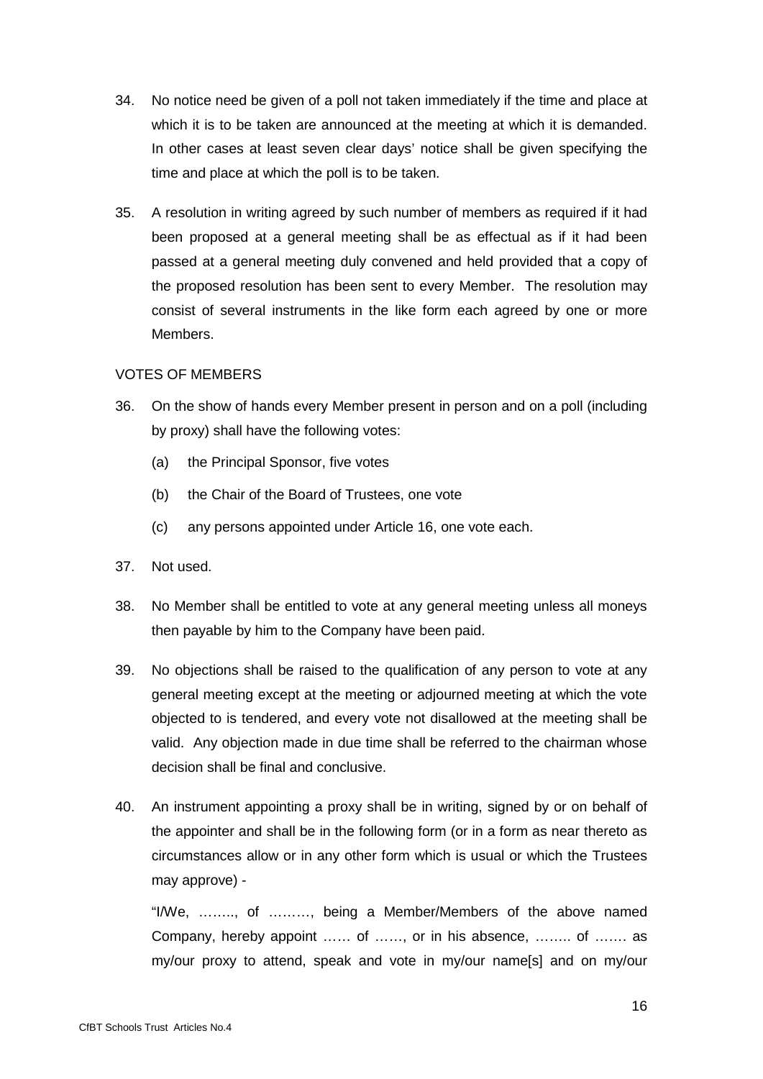- 34. No notice need be given of a poll not taken immediately if the time and place at which it is to be taken are announced at the meeting at which it is demanded. In other cases at least seven clear days' notice shall be given specifying the time and place at which the poll is to be taken.
- 35. A resolution in writing agreed by such number of members as required if it had been proposed at a general meeting shall be as effectual as if it had been passed at a general meeting duly convened and held provided that a copy of the proposed resolution has been sent to every Member. The resolution may consist of several instruments in the like form each agreed by one or more **Members**

### VOTES OF MEMBERS

- 36. On the show of hands every Member present in person and on a poll (including by proxy) shall have the following votes:
	- (a) the Principal Sponsor, five votes
	- (b) the Chair of the Board of Trustees, one vote
	- (c) any persons appointed under Article 16, one vote each.
- 37. Not used.
- 38. No Member shall be entitled to vote at any general meeting unless all moneys then payable by him to the Company have been paid.
- 39. No objections shall be raised to the qualification of any person to vote at any general meeting except at the meeting or adjourned meeting at which the vote objected to is tendered, and every vote not disallowed at the meeting shall be valid. Any objection made in due time shall be referred to the chairman whose decision shall be final and conclusive.
- 40. An instrument appointing a proxy shall be in writing, signed by or on behalf of the appointer and shall be in the following form (or in a form as near thereto as circumstances allow or in any other form which is usual or which the Trustees may approve) -

"I/We, …….., of ………, being a Member/Members of the above named Company, hereby appoint …… of ……, or in his absence, …….. of ……. as my/our proxy to attend, speak and vote in my/our name[s] and on my/our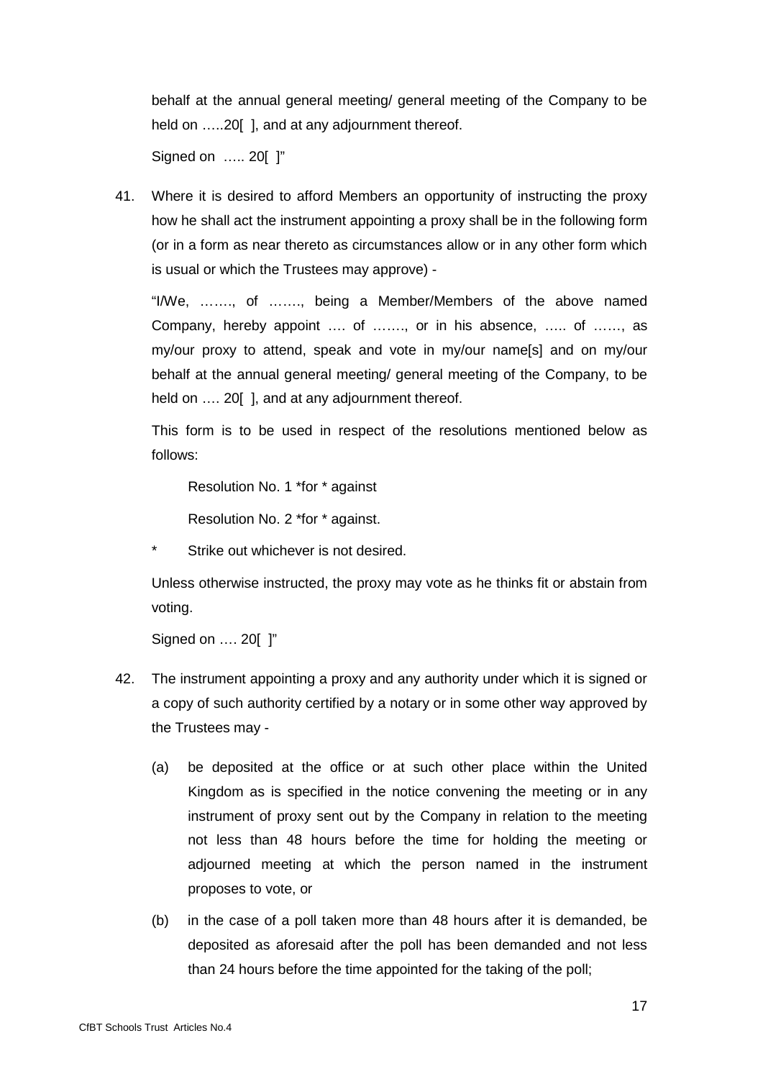behalf at the annual general meeting/ general meeting of the Company to be held on .....20 [], and at any adjournment thereof.

Signed on ….. 20[ ]"

41. Where it is desired to afford Members an opportunity of instructing the proxy how he shall act the instrument appointing a proxy shall be in the following form (or in a form as near thereto as circumstances allow or in any other form which is usual or which the Trustees may approve) -

"I/We, ……., of ……., being a Member/Members of the above named Company, hereby appoint …. of ……., or in his absence, ….. of ……, as my/our proxy to attend, speak and vote in my/our name[s] and on my/our behalf at the annual general meeting/ general meeting of the Company, to be held on .... 20[ ], and at any adjournment thereof.

This form is to be used in respect of the resolutions mentioned below as follows:

Resolution No. 1 \*for \* against

Resolution No. 2 \*for \* against.

Strike out whichever is not desired.

Unless otherwise instructed, the proxy may vote as he thinks fit or abstain from voting.

Signed on ..., 20[ ]"

- 42. The instrument appointing a proxy and any authority under which it is signed or a copy of such authority certified by a notary or in some other way approved by the Trustees may -
	- (a) be deposited at the office or at such other place within the United Kingdom as is specified in the notice convening the meeting or in any instrument of proxy sent out by the Company in relation to the meeting not less than 48 hours before the time for holding the meeting or adjourned meeting at which the person named in the instrument proposes to vote, or
	- (b) in the case of a poll taken more than 48 hours after it is demanded, be deposited as aforesaid after the poll has been demanded and not less than 24 hours before the time appointed for the taking of the poll;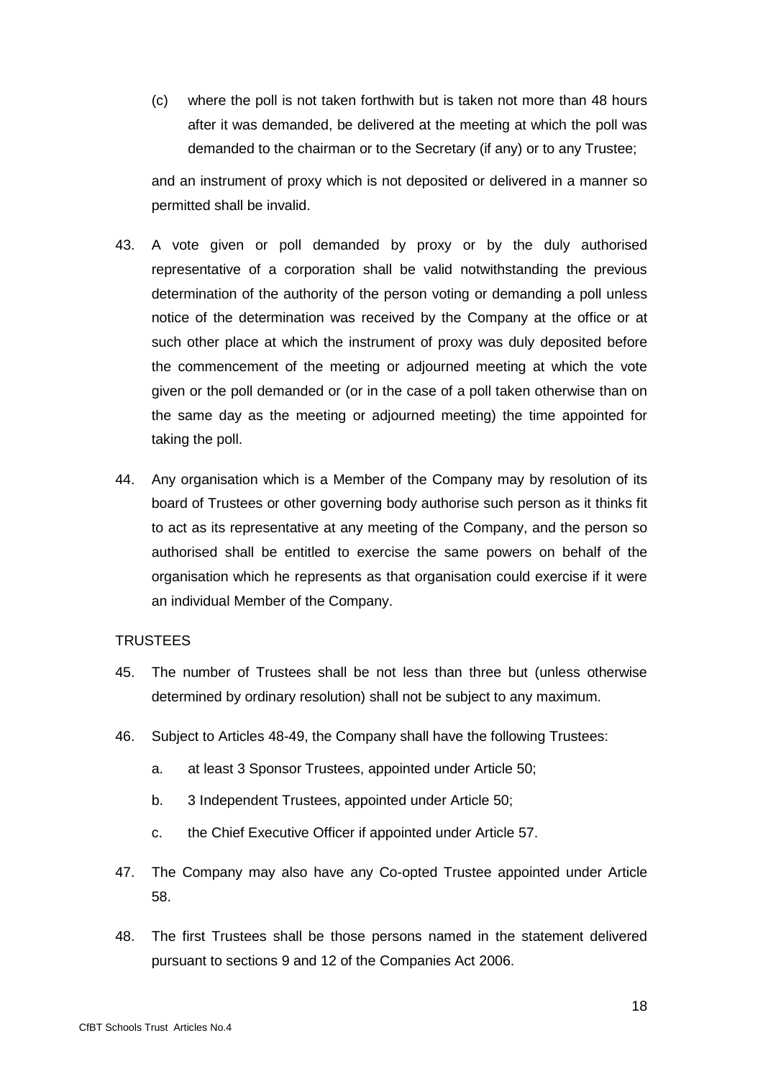(c) where the poll is not taken forthwith but is taken not more than 48 hours after it was demanded, be delivered at the meeting at which the poll was demanded to the chairman or to the Secretary (if any) or to any Trustee;

and an instrument of proxy which is not deposited or delivered in a manner so permitted shall be invalid.

- 43. A vote given or poll demanded by proxy or by the duly authorised representative of a corporation shall be valid notwithstanding the previous determination of the authority of the person voting or demanding a poll unless notice of the determination was received by the Company at the office or at such other place at which the instrument of proxy was duly deposited before the commencement of the meeting or adjourned meeting at which the vote given or the poll demanded or (or in the case of a poll taken otherwise than on the same day as the meeting or adjourned meeting) the time appointed for taking the poll.
- 44. Any organisation which is a Member of the Company may by resolution of its board of Trustees or other governing body authorise such person as it thinks fit to act as its representative at any meeting of the Company, and the person so authorised shall be entitled to exercise the same powers on behalf of the organisation which he represents as that organisation could exercise if it were an individual Member of the Company.

# **TRUSTEES**

- 45. The number of Trustees shall be not less than three but (unless otherwise determined by ordinary resolution) shall not be subject to any maximum.
- 46. Subject to Articles 48-49, the Company shall have the following Trustees:
	- a. at least 3 Sponsor Trustees, appointed under Article 50;
	- b. 3 Independent Trustees, appointed under Article 50;
	- c. the Chief Executive Officer if appointed under Article 57.
- 47. The Company may also have any Co-opted Trustee appointed under Article 58.
- 48. The first Trustees shall be those persons named in the statement delivered pursuant to sections 9 and 12 of the Companies Act 2006.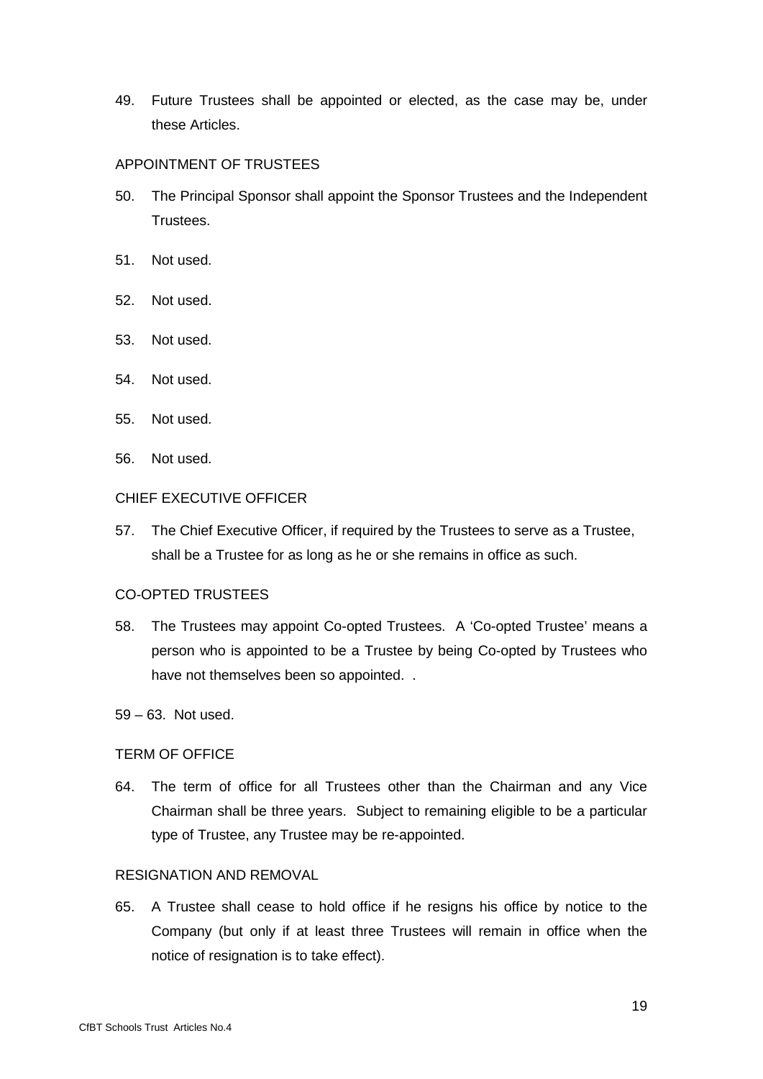49. Future Trustees shall be appointed or elected, as the case may be, under these Articles.

# APPOINTMENT OF TRUSTEES

- 50. The Principal Sponsor shall appoint the Sponsor Trustees and the Independent Trustees.
- 51. Not used.
- 52. Not used.
- 53. Not used.
- 54. Not used.
- 55. Not used.
- 56. Not used.

### CHIEF EXECUTIVE OFFICER

57. The Chief Executive Officer, if required by the Trustees to serve as a Trustee, shall be a Trustee for as long as he or she remains in office as such.

### CO-OPTED TRUSTEES

- 58. The Trustees may appoint Co-opted Trustees. A 'Co-opted Trustee' means a person who is appointed to be a Trustee by being Co-opted by Trustees who have not themselves been so appointed. .
- 59 63. Not used.

## TERM OF OFFICE

64. The term of office for all Trustees other than the Chairman and any Vice Chairman shall be three years. Subject to remaining eligible to be a particular type of Trustee, any Trustee may be re-appointed.

### RESIGNATION AND REMOVAL

65. A Trustee shall cease to hold office if he resigns his office by notice to the Company (but only if at least three Trustees will remain in office when the notice of resignation is to take effect).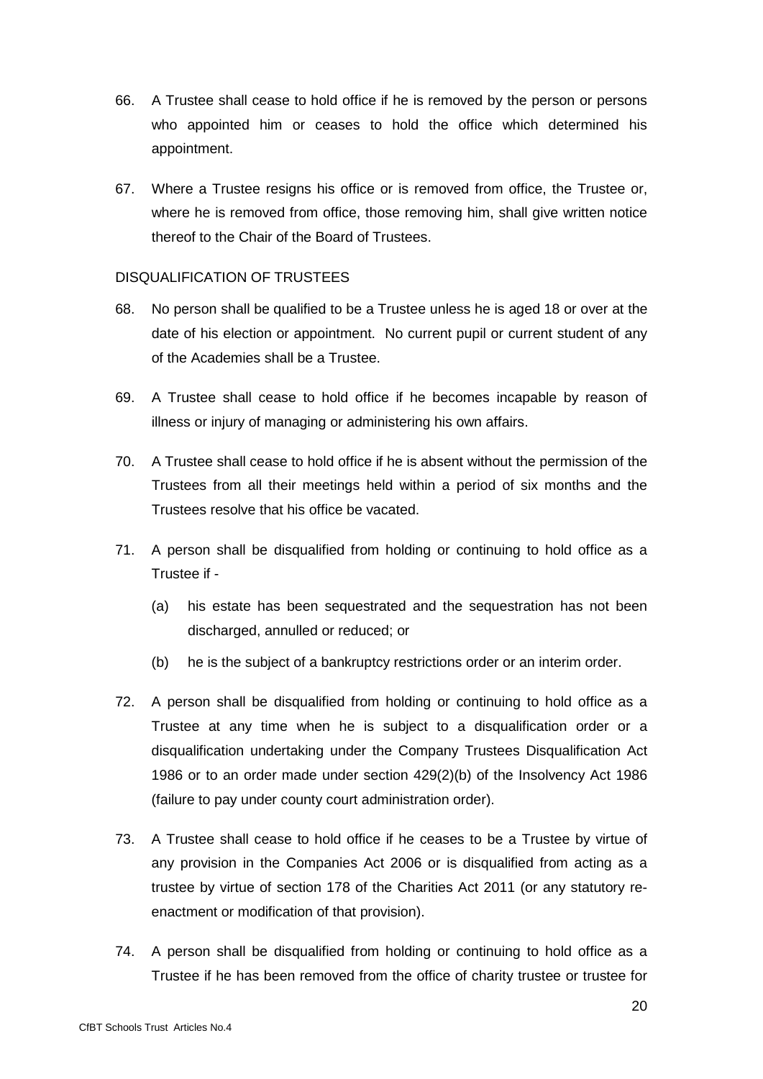- 66. A Trustee shall cease to hold office if he is removed by the person or persons who appointed him or ceases to hold the office which determined his appointment.
- 67. Where a Trustee resigns his office or is removed from office, the Trustee or, where he is removed from office, those removing him, shall give written notice thereof to the Chair of the Board of Trustees.

# DISQUALIFICATION OF TRUSTEES

- 68. No person shall be qualified to be a Trustee unless he is aged 18 or over at the date of his election or appointment. No current pupil or current student of any of the Academies shall be a Trustee.
- 69. A Trustee shall cease to hold office if he becomes incapable by reason of illness or injury of managing or administering his own affairs.
- 70. A Trustee shall cease to hold office if he is absent without the permission of the Trustees from all their meetings held within a period of six months and the Trustees resolve that his office be vacated.
- 71. A person shall be disqualified from holding or continuing to hold office as a Trustee if -
	- (a) his estate has been sequestrated and the sequestration has not been discharged, annulled or reduced; or
	- (b) he is the subject of a bankruptcy restrictions order or an interim order.
- 72. A person shall be disqualified from holding or continuing to hold office as a Trustee at any time when he is subject to a disqualification order or a disqualification undertaking under the Company Trustees Disqualification Act 1986 or to an order made under section 429(2)(b) of the Insolvency Act 1986 (failure to pay under county court administration order).
- 73. A Trustee shall cease to hold office if he ceases to be a Trustee by virtue of any provision in the Companies Act 2006 or is disqualified from acting as a trustee by virtue of section 178 of the Charities Act 2011 (or any statutory reenactment or modification of that provision).
- 74. A person shall be disqualified from holding or continuing to hold office as a Trustee if he has been removed from the office of charity trustee or trustee for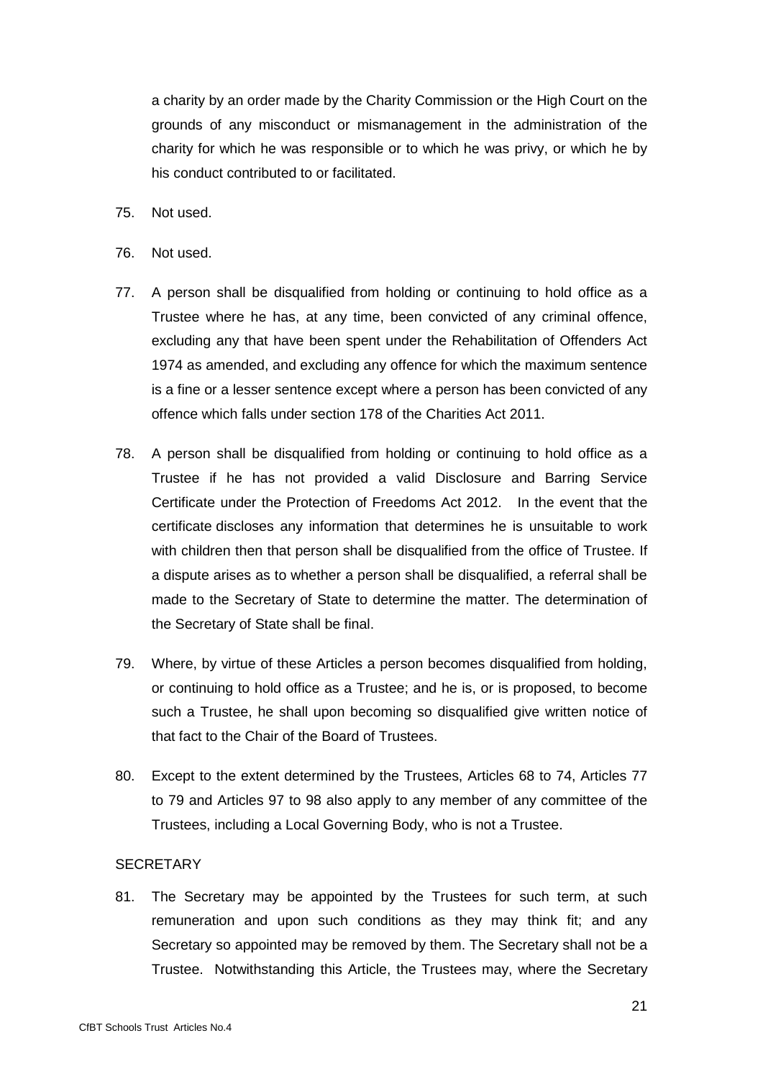a charity by an order made by the Charity Commission or the High Court on the grounds of any misconduct or mismanagement in the administration of the charity for which he was responsible or to which he was privy, or which he by his conduct contributed to or facilitated.

- 75. Not used.
- 76. Not used.
- 77. A person shall be disqualified from holding or continuing to hold office as a Trustee where he has, at any time, been convicted of any criminal offence, excluding any that have been spent under the Rehabilitation of Offenders Act 1974 as amended, and excluding any offence for which the maximum sentence is a fine or a lesser sentence except where a person has been convicted of any offence which falls under section 178 of the Charities Act 2011.
- 78. A person shall be disqualified from holding or continuing to hold office as a Trustee if he has not provided a valid Disclosure and Barring Service Certificate under the Protection of Freedoms Act 2012. In the event that the certificate discloses any information that determines he is unsuitable to work with children then that person shall be disqualified from the office of Trustee. If a dispute arises as to whether a person shall be disqualified, a referral shall be made to the Secretary of State to determine the matter. The determination of the Secretary of State shall be final.
- 79. Where, by virtue of these Articles a person becomes disqualified from holding, or continuing to hold office as a Trustee; and he is, or is proposed, to become such a Trustee, he shall upon becoming so disqualified give written notice of that fact to the Chair of the Board of Trustees.
- 80. Except to the extent determined by the Trustees, Articles 68 to 74, Articles 77 to 79 and Articles 97 to 98 also apply to any member of any committee of the Trustees, including a Local Governing Body, who is not a Trustee.

### **SECRETARY**

81. The Secretary may be appointed by the Trustees for such term, at such remuneration and upon such conditions as they may think fit; and any Secretary so appointed may be removed by them. The Secretary shall not be a Trustee. Notwithstanding this Article, the Trustees may, where the Secretary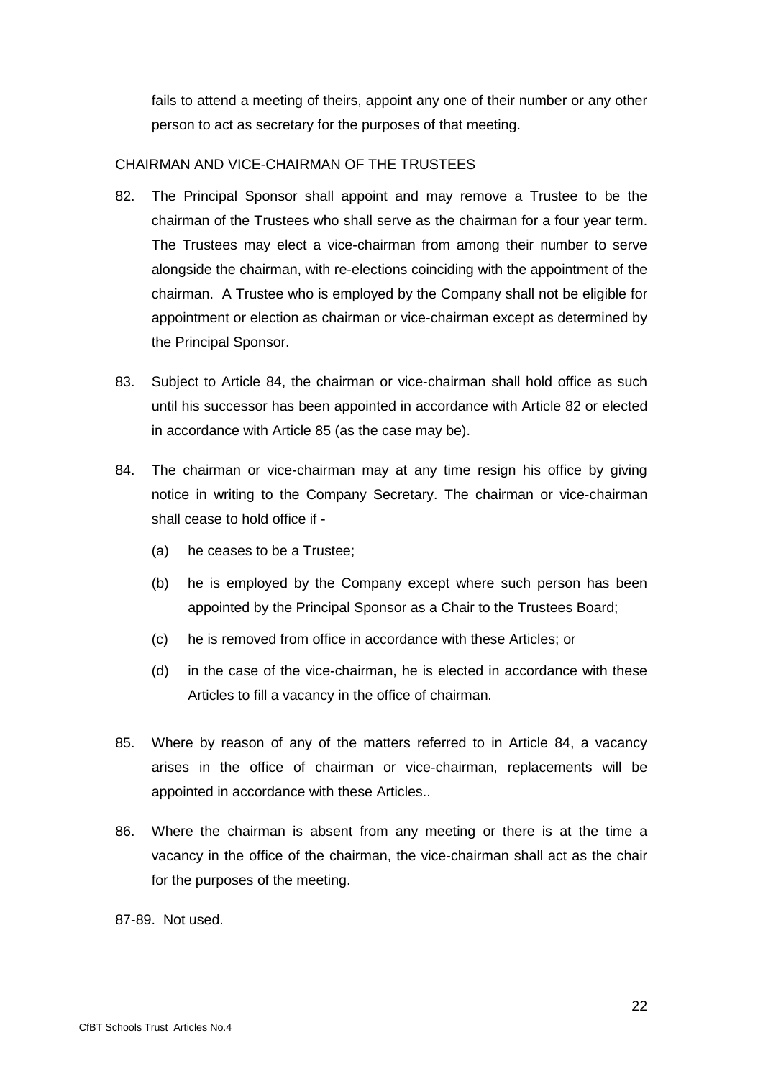fails to attend a meeting of theirs, appoint any one of their number or any other person to act as secretary for the purposes of that meeting.

### CHAIRMAN AND VICE-CHAIRMAN OF THE TRUSTEES

- 82. The Principal Sponsor shall appoint and may remove a Trustee to be the chairman of the Trustees who shall serve as the chairman for a four year term. The Trustees may elect a vice-chairman from among their number to serve alongside the chairman, with re-elections coinciding with the appointment of the chairman. A Trustee who is employed by the Company shall not be eligible for appointment or election as chairman or vice-chairman except as determined by the Principal Sponsor.
- 83. Subject to Article 84, the chairman or vice-chairman shall hold office as such until his successor has been appointed in accordance with Article 82 or elected in accordance with Article 85 (as the case may be).
- 84. The chairman or vice-chairman may at any time resign his office by giving notice in writing to the Company Secretary. The chairman or vice-chairman shall cease to hold office if -
	- (a) he ceases to be a Trustee;
	- (b) he is employed by the Company except where such person has been appointed by the Principal Sponsor as a Chair to the Trustees Board;
	- (c) he is removed from office in accordance with these Articles; or
	- (d) in the case of the vice-chairman, he is elected in accordance with these Articles to fill a vacancy in the office of chairman.
- 85. Where by reason of any of the matters referred to in Article 84, a vacancy arises in the office of chairman or vice-chairman, replacements will be appointed in accordance with these Articles..
- 86. Where the chairman is absent from any meeting or there is at the time a vacancy in the office of the chairman, the vice-chairman shall act as the chair for the purposes of the meeting.
- 87-89. Not used.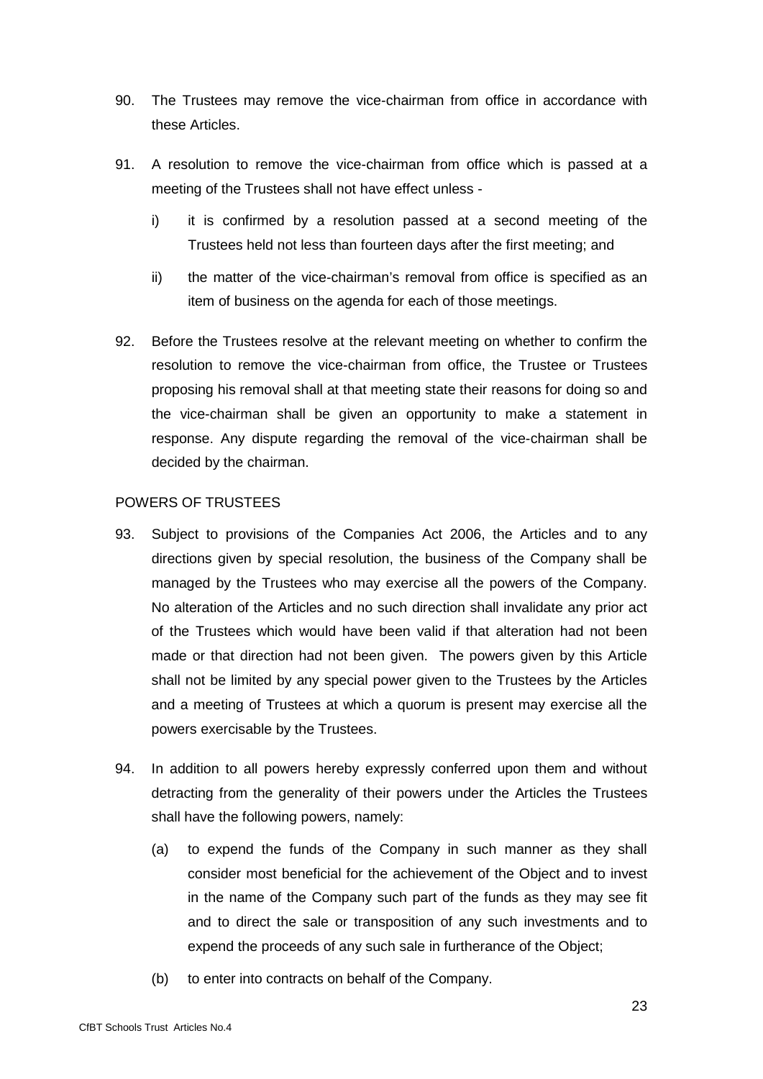- 90. The Trustees may remove the vice-chairman from office in accordance with these Articles.
- 91. A resolution to remove the vice-chairman from office which is passed at a meeting of the Trustees shall not have effect unless
	- i) it is confirmed by a resolution passed at a second meeting of the Trustees held not less than fourteen days after the first meeting; and
	- ii) the matter of the vice-chairman's removal from office is specified as an item of business on the agenda for each of those meetings.
- 92. Before the Trustees resolve at the relevant meeting on whether to confirm the resolution to remove the vice-chairman from office, the Trustee or Trustees proposing his removal shall at that meeting state their reasons for doing so and the vice-chairman shall be given an opportunity to make a statement in response. Any dispute regarding the removal of the vice-chairman shall be decided by the chairman.

# POWERS OF TRUSTEES

- 93. Subject to provisions of the Companies Act 2006, the Articles and to any directions given by special resolution, the business of the Company shall be managed by the Trustees who may exercise all the powers of the Company. No alteration of the Articles and no such direction shall invalidate any prior act of the Trustees which would have been valid if that alteration had not been made or that direction had not been given. The powers given by this Article shall not be limited by any special power given to the Trustees by the Articles and a meeting of Trustees at which a quorum is present may exercise all the powers exercisable by the Trustees.
- 94. In addition to all powers hereby expressly conferred upon them and without detracting from the generality of their powers under the Articles the Trustees shall have the following powers, namely:
	- (a) to expend the funds of the Company in such manner as they shall consider most beneficial for the achievement of the Object and to invest in the name of the Company such part of the funds as they may see fit and to direct the sale or transposition of any such investments and to expend the proceeds of any such sale in furtherance of the Object;
	- (b) to enter into contracts on behalf of the Company.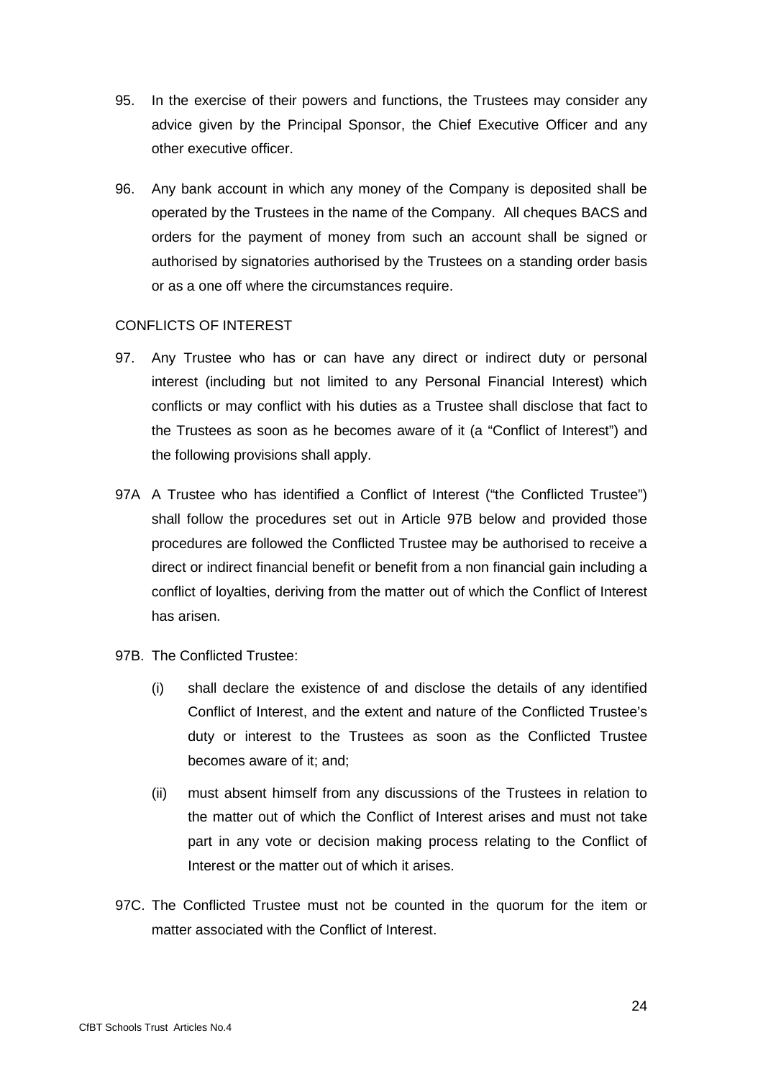- 95. In the exercise of their powers and functions, the Trustees may consider any advice given by the Principal Sponsor, the Chief Executive Officer and any other executive officer.
- 96. Any bank account in which any money of the Company is deposited shall be operated by the Trustees in the name of the Company. All cheques BACS and orders for the payment of money from such an account shall be signed or authorised by signatories authorised by the Trustees on a standing order basis or as a one off where the circumstances require.

### CONFLICTS OF INTEREST

- 97. Any Trustee who has or can have any direct or indirect duty or personal interest (including but not limited to any Personal Financial Interest) which conflicts or may conflict with his duties as a Trustee shall disclose that fact to the Trustees as soon as he becomes aware of it (a "Conflict of Interest") and the following provisions shall apply.
- 97A A Trustee who has identified a Conflict of Interest ("the Conflicted Trustee") shall follow the procedures set out in Article 97B below and provided those procedures are followed the Conflicted Trustee may be authorised to receive a direct or indirect financial benefit or benefit from a non financial gain including a conflict of loyalties, deriving from the matter out of which the Conflict of Interest has arisen.
- 97B. The Conflicted Trustee:
	- (i) shall declare the existence of and disclose the details of any identified Conflict of Interest, and the extent and nature of the Conflicted Trustee's duty or interest to the Trustees as soon as the Conflicted Trustee becomes aware of it; and;
	- (ii) must absent himself from any discussions of the Trustees in relation to the matter out of which the Conflict of Interest arises and must not take part in any vote or decision making process relating to the Conflict of Interest or the matter out of which it arises.
- 97C. The Conflicted Trustee must not be counted in the quorum for the item or matter associated with the Conflict of Interest.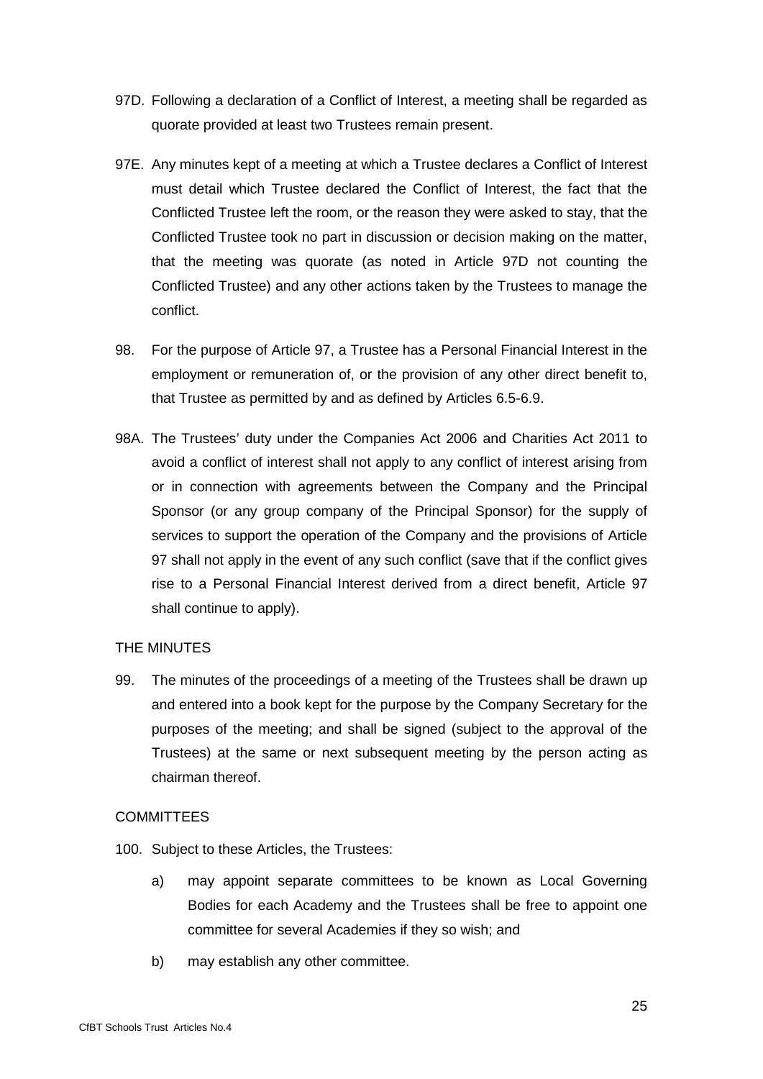- 97D. Following a declaration of a Conflict of Interest, a meeting shall be regarded as quorate provided at least two Trustees remain present.
- 97E. Any minutes kept of a meeting at which a Trustee declares a Conflict of Interest must detail which Trustee declared the Conflict of Interest, the fact that the Conflicted Trustee left the room, or the reason they were asked to stay, that the Conflicted Trustee took no part in discussion or decision making on the matter, that the meeting was quorate (as noted in Article 97D not counting the Conflicted Trustee) and any other actions taken by the Trustees to manage the conflict.
- 98. For the purpose of Article 97, a Trustee has a Personal Financial Interest in the employment or remuneration of, or the provision of any other direct benefit to, that Trustee as permitted by and as defined by Articles 6.5-6.9.
- 98A. The Trustees' duty under the Companies Act 2006 and Charities Act 2011 to avoid a conflict of interest shall not apply to any conflict of interest arising from or in connection with agreements between the Company and the Principal Sponsor (or any group company of the Principal Sponsor) for the supply of services to support the operation of the Company and the provisions of Article 97 shall not apply in the event of any such conflict (save that if the conflict gives rise to a Personal Financial Interest derived from a direct benefit, Article 97 shall continue to apply).

# THE MINUTES

99. The minutes of the proceedings of a meeting of the Trustees shall be drawn up and entered into a book kept for the purpose by the Company Secretary for the purposes of the meeting; and shall be signed (subject to the approval of the Trustees) at the same or next subsequent meeting by the person acting as chairman thereof.

# **COMMITTEES**

- 100. Subject to these Articles, the Trustees:
	- a) may appoint separate committees to be known as Local Governing Bodies for each Academy and the Trustees shall be free to appoint one committee for several Academies if they so wish; and
	- b) may establish any other committee.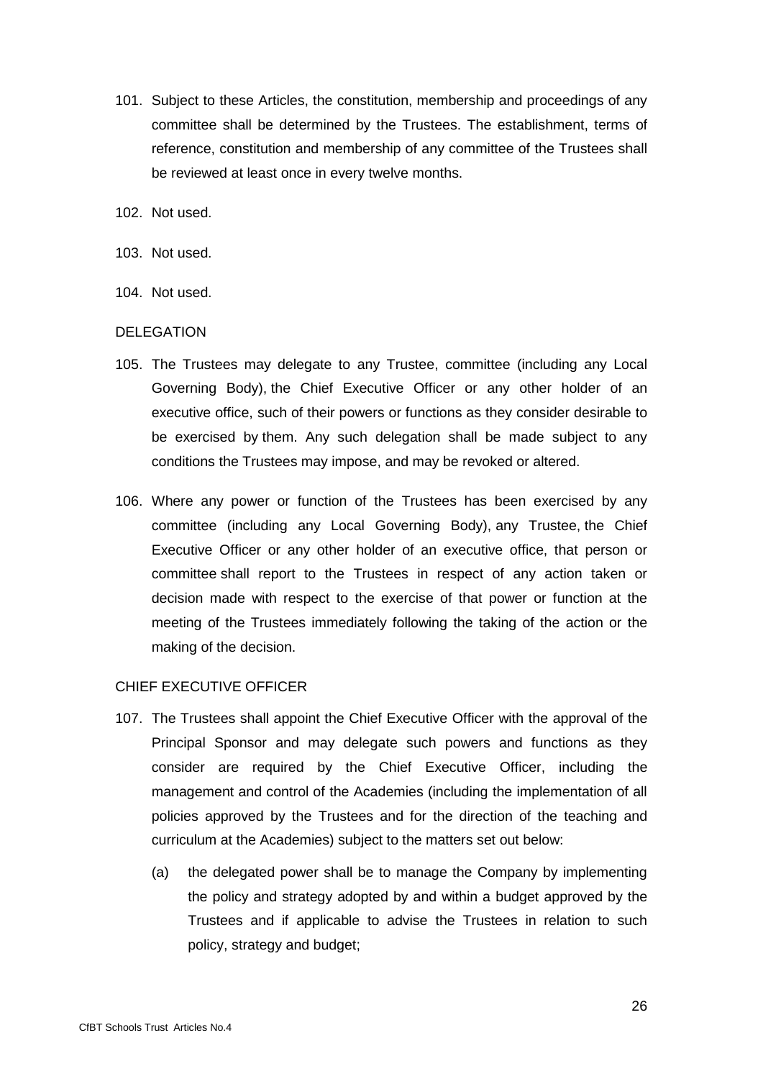- 101. Subject to these Articles, the constitution, membership and proceedings of any committee shall be determined by the Trustees. The establishment, terms of reference, constitution and membership of any committee of the Trustees shall be reviewed at least once in every twelve months.
- 102. Not used.
- 103. Not used.
- 104. Not used.

### DELEGATION

- 105. The Trustees may delegate to any Trustee, committee (including any Local Governing Body), the Chief Executive Officer or any other holder of an executive office, such of their powers or functions as they consider desirable to be exercised by them. Any such delegation shall be made subject to any conditions the Trustees may impose, and may be revoked or altered.
- 106. Where any power or function of the Trustees has been exercised by any committee (including any Local Governing Body), any Trustee, the Chief Executive Officer or any other holder of an executive office, that person or committee shall report to the Trustees in respect of any action taken or decision made with respect to the exercise of that power or function at the meeting of the Trustees immediately following the taking of the action or the making of the decision.

# CHIEF EXECUTIVE OFFICER

- 107. The Trustees shall appoint the Chief Executive Officer with the approval of the Principal Sponsor and may delegate such powers and functions as they consider are required by the Chief Executive Officer, including the management and control of the Academies (including the implementation of all policies approved by the Trustees and for the direction of the teaching and curriculum at the Academies) subject to the matters set out below:
	- (a) the delegated power shall be to manage the Company by implementing the policy and strategy adopted by and within a budget approved by the Trustees and if applicable to advise the Trustees in relation to such policy, strategy and budget;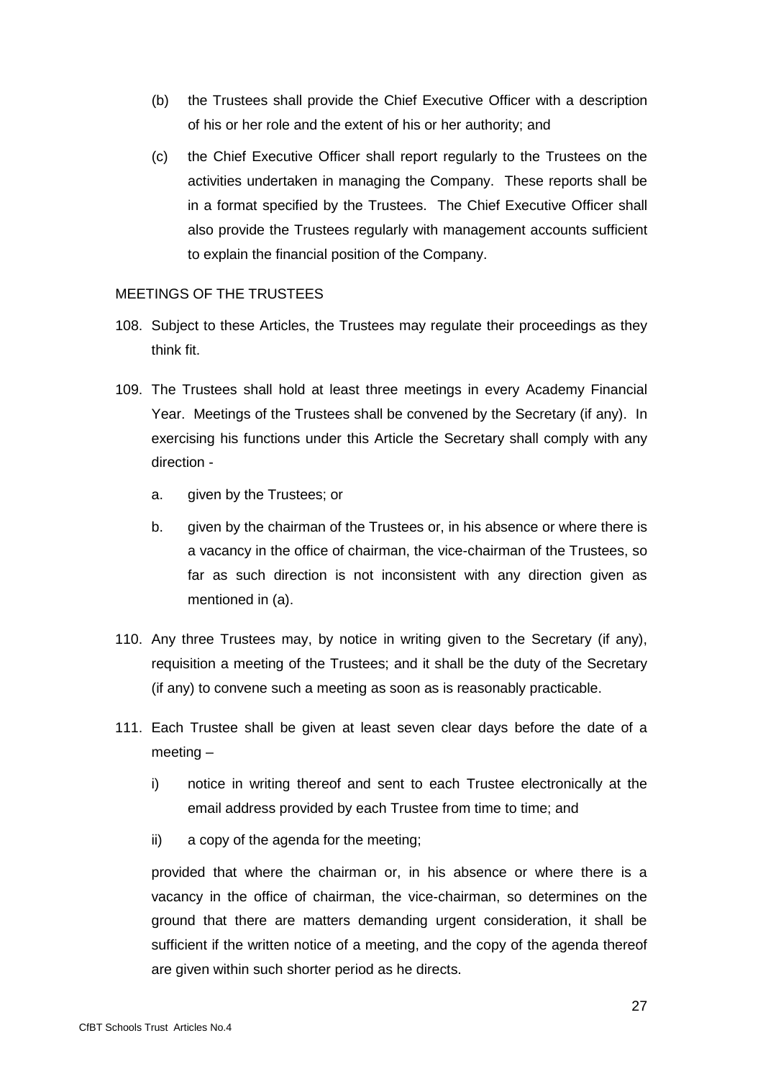- (b) the Trustees shall provide the Chief Executive Officer with a description of his or her role and the extent of his or her authority; and
- (c) the Chief Executive Officer shall report regularly to the Trustees on the activities undertaken in managing the Company. These reports shall be in a format specified by the Trustees. The Chief Executive Officer shall also provide the Trustees regularly with management accounts sufficient to explain the financial position of the Company.

# MEETINGS OF THE TRUSTEES

- 108. Subject to these Articles, the Trustees may regulate their proceedings as they think fit.
- 109. The Trustees shall hold at least three meetings in every Academy Financial Year. Meetings of the Trustees shall be convened by the Secretary (if any). In exercising his functions under this Article the Secretary shall comply with any direction
	- a. given by the Trustees; or
	- b. given by the chairman of the Trustees or, in his absence or where there is a vacancy in the office of chairman, the vice-chairman of the Trustees, so far as such direction is not inconsistent with any direction given as mentioned in (a).
- 110. Any three Trustees may, by notice in writing given to the Secretary (if any), requisition a meeting of the Trustees; and it shall be the duty of the Secretary (if any) to convene such a meeting as soon as is reasonably practicable.
- 111. Each Trustee shall be given at least seven clear days before the date of a meeting –
	- i) notice in writing thereof and sent to each Trustee electronically at the email address provided by each Trustee from time to time; and
	- ii) a copy of the agenda for the meeting;

provided that where the chairman or, in his absence or where there is a vacancy in the office of chairman, the vice-chairman, so determines on the ground that there are matters demanding urgent consideration, it shall be sufficient if the written notice of a meeting, and the copy of the agenda thereof are given within such shorter period as he directs.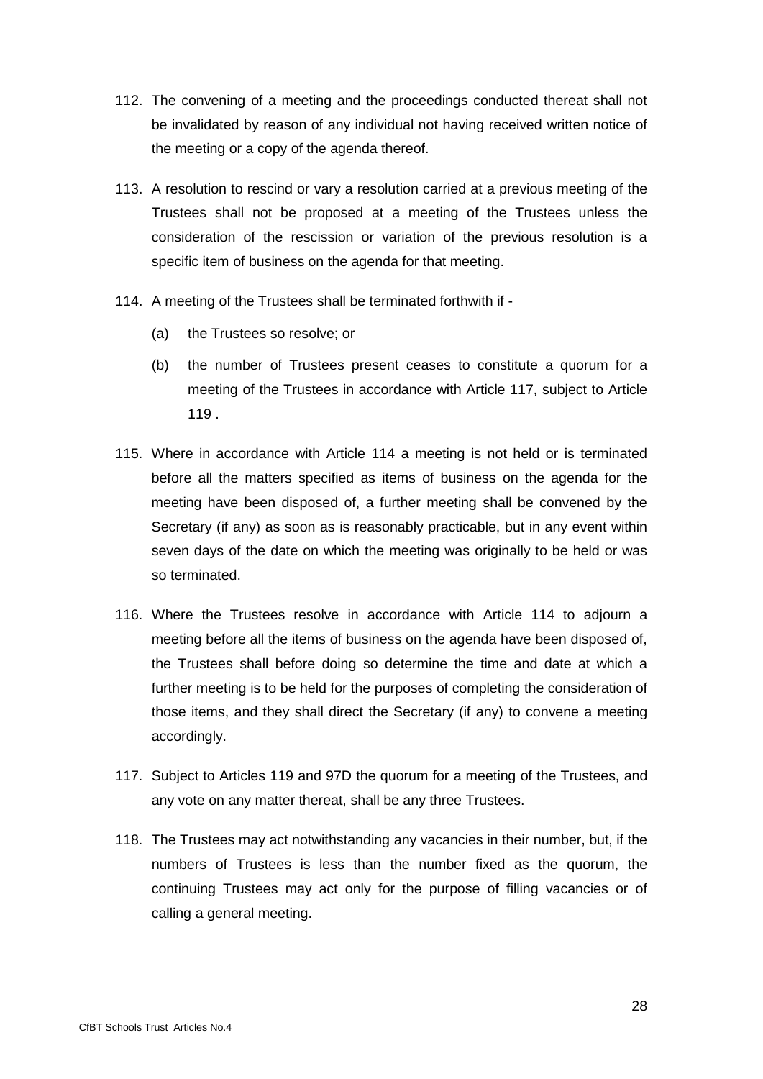- 112. The convening of a meeting and the proceedings conducted thereat shall not be invalidated by reason of any individual not having received written notice of the meeting or a copy of the agenda thereof.
- 113. A resolution to rescind or vary a resolution carried at a previous meeting of the Trustees shall not be proposed at a meeting of the Trustees unless the consideration of the rescission or variation of the previous resolution is a specific item of business on the agenda for that meeting.
- 114. A meeting of the Trustees shall be terminated forthwith if
	- (a) the Trustees so resolve; or
	- (b) the number of Trustees present ceases to constitute a quorum for a meeting of the Trustees in accordance with Article 117, subject to Article 119 .
- 115. Where in accordance with Article 114 a meeting is not held or is terminated before all the matters specified as items of business on the agenda for the meeting have been disposed of, a further meeting shall be convened by the Secretary (if any) as soon as is reasonably practicable, but in any event within seven days of the date on which the meeting was originally to be held or was so terminated.
- 116. Where the Trustees resolve in accordance with Article 114 to adjourn a meeting before all the items of business on the agenda have been disposed of, the Trustees shall before doing so determine the time and date at which a further meeting is to be held for the purposes of completing the consideration of those items, and they shall direct the Secretary (if any) to convene a meeting accordingly.
- 117. Subject to Articles 119 and 97D the quorum for a meeting of the Trustees, and any vote on any matter thereat, shall be any three Trustees.
- 118. The Trustees may act notwithstanding any vacancies in their number, but, if the numbers of Trustees is less than the number fixed as the quorum, the continuing Trustees may act only for the purpose of filling vacancies or of calling a general meeting.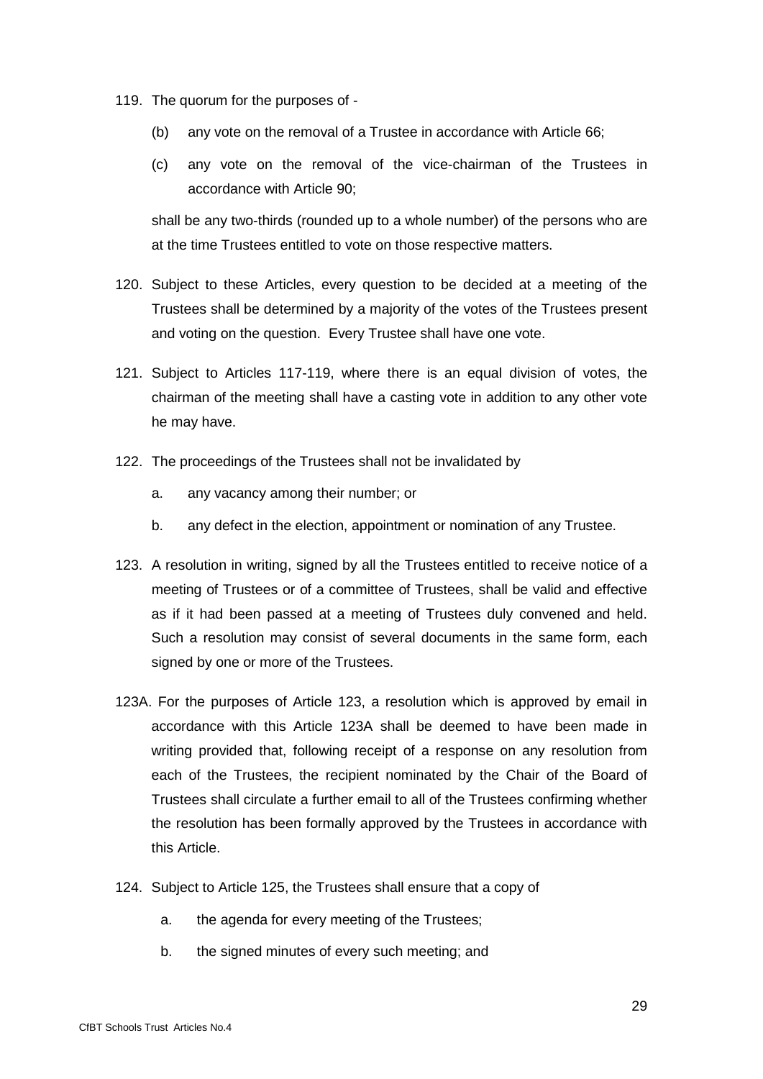- 119. The quorum for the purposes of
	- (b) any vote on the removal of a Trustee in accordance with Article 66;
	- (c) any vote on the removal of the vice-chairman of the Trustees in accordance with Article 90;

shall be any two-thirds (rounded up to a whole number) of the persons who are at the time Trustees entitled to vote on those respective matters.

- 120. Subject to these Articles, every question to be decided at a meeting of the Trustees shall be determined by a majority of the votes of the Trustees present and voting on the question. Every Trustee shall have one vote.
- 121. Subject to Articles 117-119, where there is an equal division of votes, the chairman of the meeting shall have a casting vote in addition to any other vote he may have.
- 122. The proceedings of the Trustees shall not be invalidated by
	- a. any vacancy among their number; or
	- b. any defect in the election, appointment or nomination of any Trustee.
- 123. A resolution in writing, signed by all the Trustees entitled to receive notice of a meeting of Trustees or of a committee of Trustees, shall be valid and effective as if it had been passed at a meeting of Trustees duly convened and held. Such a resolution may consist of several documents in the same form, each signed by one or more of the Trustees.
- 123A. For the purposes of Article 123, a resolution which is approved by email in accordance with this Article 123A shall be deemed to have been made in writing provided that, following receipt of a response on any resolution from each of the Trustees, the recipient nominated by the Chair of the Board of Trustees shall circulate a further email to all of the Trustees confirming whether the resolution has been formally approved by the Trustees in accordance with this Article.
- 124. Subject to Article 125, the Trustees shall ensure that a copy of
	- a. the agenda for every meeting of the Trustees;
	- b. the signed minutes of every such meeting; and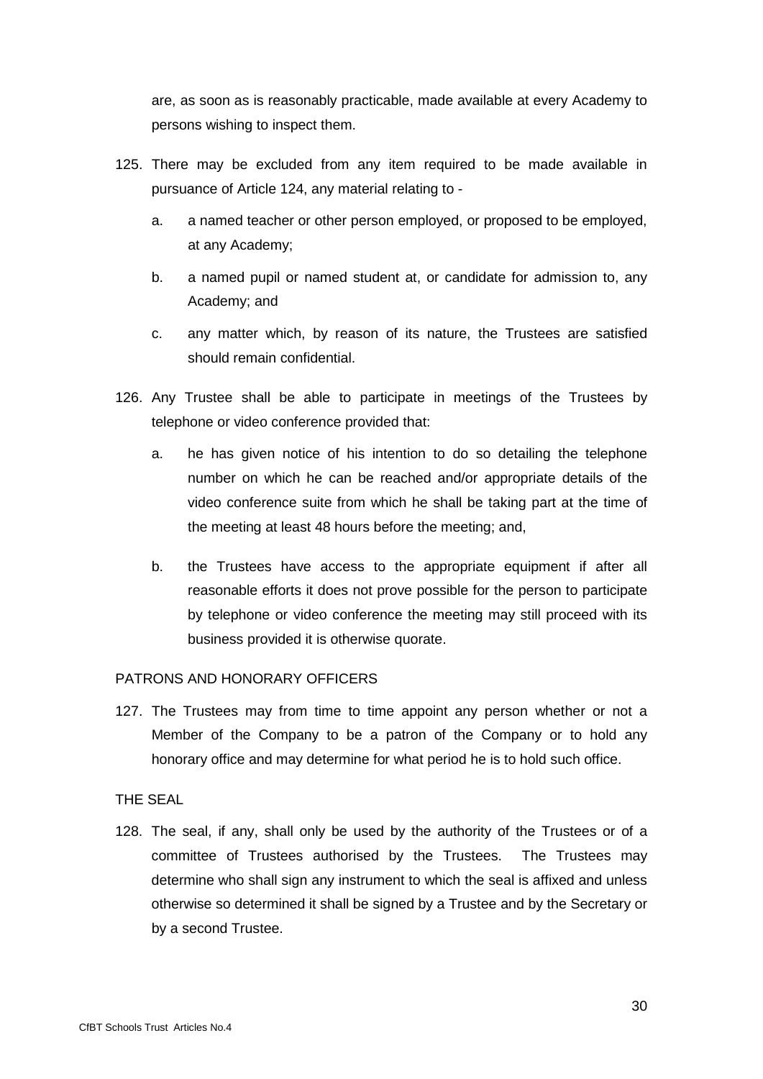are, as soon as is reasonably practicable, made available at every Academy to persons wishing to inspect them.

- 125. There may be excluded from any item required to be made available in pursuance of Article 124, any material relating to
	- a. a named teacher or other person employed, or proposed to be employed, at any Academy;
	- b. a named pupil or named student at, or candidate for admission to, any Academy; and
	- c. any matter which, by reason of its nature, the Trustees are satisfied should remain confidential.
- 126. Any Trustee shall be able to participate in meetings of the Trustees by telephone or video conference provided that:
	- a. he has given notice of his intention to do so detailing the telephone number on which he can be reached and/or appropriate details of the video conference suite from which he shall be taking part at the time of the meeting at least 48 hours before the meeting; and,
	- b. the Trustees have access to the appropriate equipment if after all reasonable efforts it does not prove possible for the person to participate by telephone or video conference the meeting may still proceed with its business provided it is otherwise quorate.

# PATRONS AND HONORARY OFFICERS

127. The Trustees may from time to time appoint any person whether or not a Member of the Company to be a patron of the Company or to hold any honorary office and may determine for what period he is to hold such office.

### THE SEAL

128. The seal, if any, shall only be used by the authority of the Trustees or of a committee of Trustees authorised by the Trustees. The Trustees may determine who shall sign any instrument to which the seal is affixed and unless otherwise so determined it shall be signed by a Trustee and by the Secretary or by a second Trustee.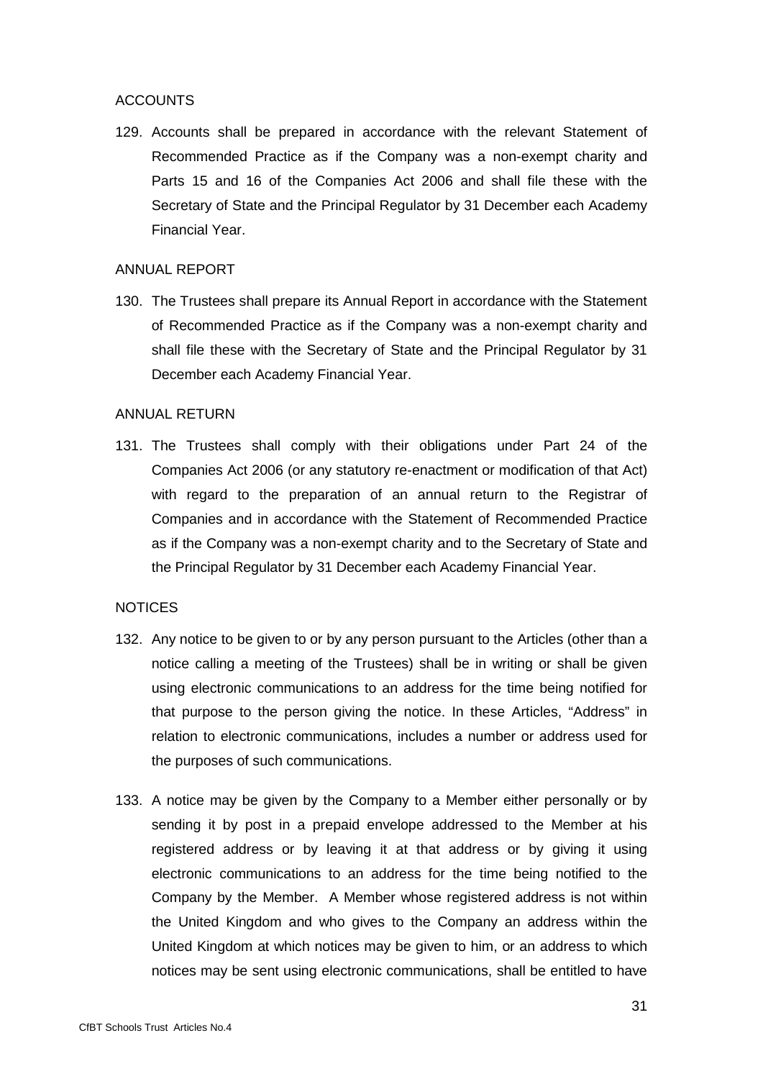### ACCOUNTS

129. Accounts shall be prepared in accordance with the relevant Statement of Recommended Practice as if the Company was a non-exempt charity and Parts 15 and 16 of the Companies Act 2006 and shall file these with the Secretary of State and the Principal Regulator by 31 December each Academy Financial Year.

#### ANNUAL REPORT

130. The Trustees shall prepare its Annual Report in accordance with the Statement of Recommended Practice as if the Company was a non-exempt charity and shall file these with the Secretary of State and the Principal Regulator by 31 December each Academy Financial Year.

### ANNUAL RETURN

131. The Trustees shall comply with their obligations under Part 24 of the Companies Act 2006 (or any statutory re-enactment or modification of that Act) with regard to the preparation of an annual return to the Registrar of Companies and in accordance with the Statement of Recommended Practice as if the Company was a non-exempt charity and to the Secretary of State and the Principal Regulator by 31 December each Academy Financial Year.

### **NOTICES**

- 132. Any notice to be given to or by any person pursuant to the Articles (other than a notice calling a meeting of the Trustees) shall be in writing or shall be given using electronic communications to an address for the time being notified for that purpose to the person giving the notice. In these Articles, "Address" in relation to electronic communications, includes a number or address used for the purposes of such communications.
- 133. A notice may be given by the Company to a Member either personally or by sending it by post in a prepaid envelope addressed to the Member at his registered address or by leaving it at that address or by giving it using electronic communications to an address for the time being notified to the Company by the Member. A Member whose registered address is not within the United Kingdom and who gives to the Company an address within the United Kingdom at which notices may be given to him, or an address to which notices may be sent using electronic communications, shall be entitled to have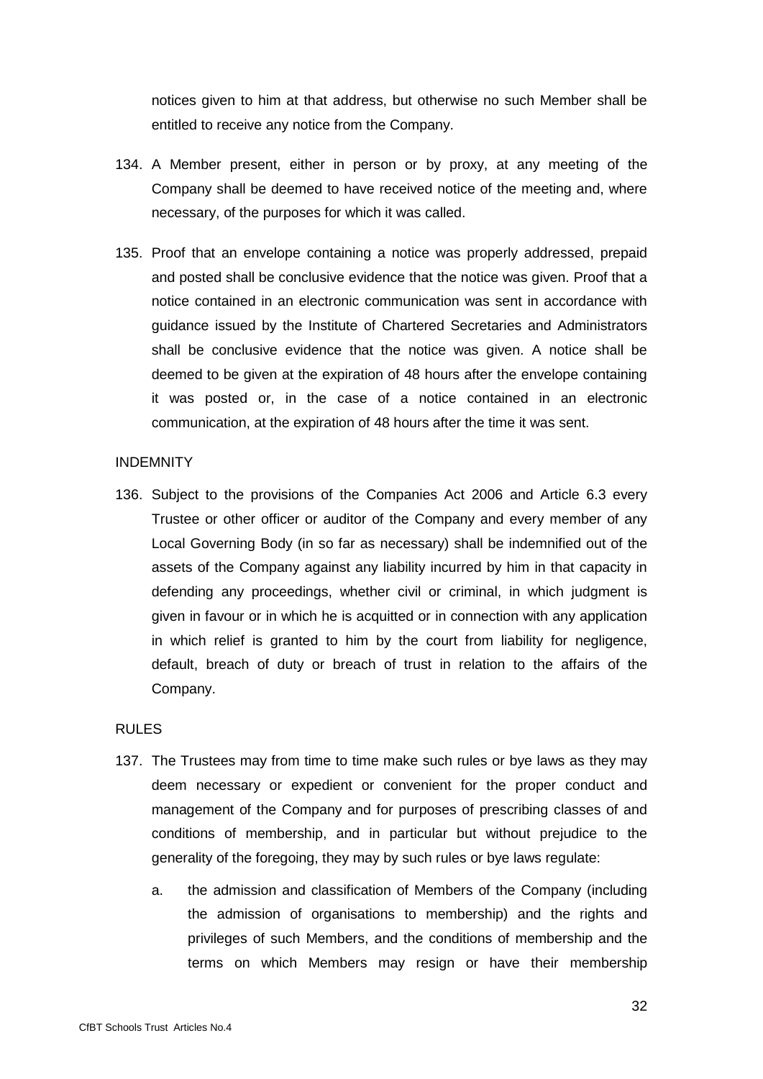notices given to him at that address, but otherwise no such Member shall be entitled to receive any notice from the Company.

- 134. A Member present, either in person or by proxy, at any meeting of the Company shall be deemed to have received notice of the meeting and, where necessary, of the purposes for which it was called.
- 135. Proof that an envelope containing a notice was properly addressed, prepaid and posted shall be conclusive evidence that the notice was given. Proof that a notice contained in an electronic communication was sent in accordance with guidance issued by the Institute of Chartered Secretaries and Administrators shall be conclusive evidence that the notice was given. A notice shall be deemed to be given at the expiration of 48 hours after the envelope containing it was posted or, in the case of a notice contained in an electronic communication, at the expiration of 48 hours after the time it was sent.

#### **INDEMNITY**

136. Subject to the provisions of the Companies Act 2006 and Article 6.3 every Trustee or other officer or auditor of the Company and every member of any Local Governing Body (in so far as necessary) shall be indemnified out of the assets of the Company against any liability incurred by him in that capacity in defending any proceedings, whether civil or criminal, in which judgment is given in favour or in which he is acquitted or in connection with any application in which relief is granted to him by the court from liability for negligence, default, breach of duty or breach of trust in relation to the affairs of the Company.

### RULES

- 137. The Trustees may from time to time make such rules or bye laws as they may deem necessary or expedient or convenient for the proper conduct and management of the Company and for purposes of prescribing classes of and conditions of membership, and in particular but without prejudice to the generality of the foregoing, they may by such rules or bye laws regulate:
	- a. the admission and classification of Members of the Company (including the admission of organisations to membership) and the rights and privileges of such Members, and the conditions of membership and the terms on which Members may resign or have their membership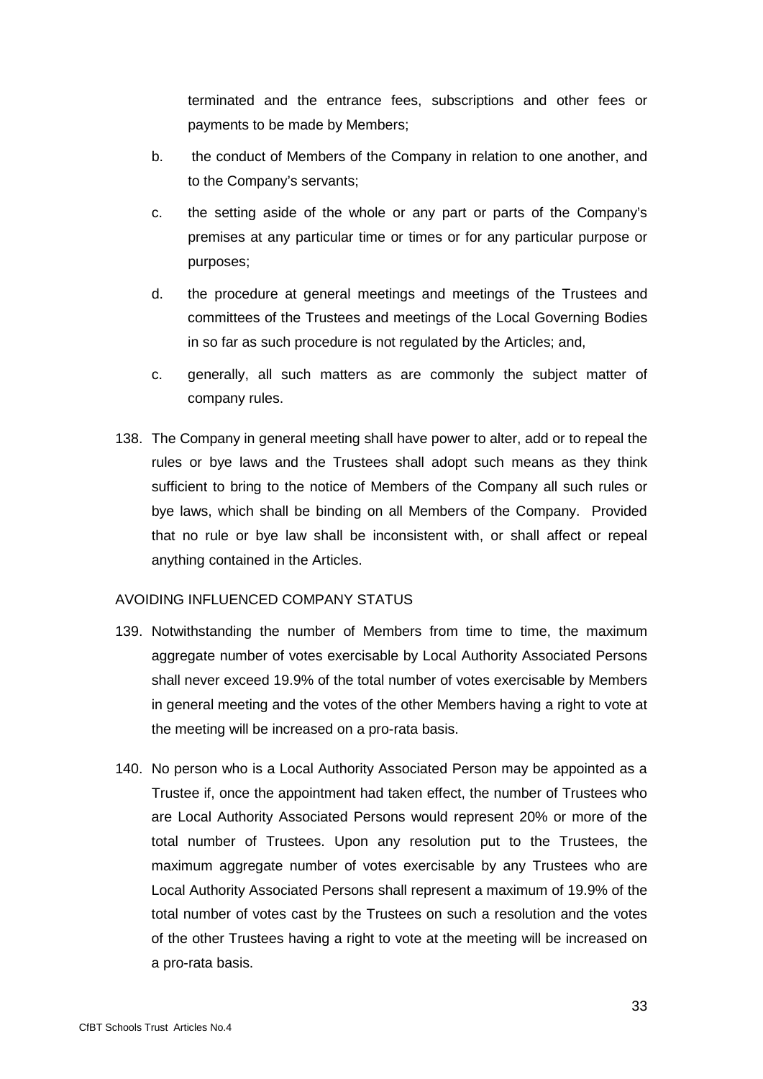terminated and the entrance fees, subscriptions and other fees or payments to be made by Members;

- b. the conduct of Members of the Company in relation to one another, and to the Company's servants;
- c. the setting aside of the whole or any part or parts of the Company's premises at any particular time or times or for any particular purpose or purposes;
- d. the procedure at general meetings and meetings of the Trustees and committees of the Trustees and meetings of the Local Governing Bodies in so far as such procedure is not regulated by the Articles; and,
- c. generally, all such matters as are commonly the subject matter of company rules.
- 138. The Company in general meeting shall have power to alter, add or to repeal the rules or bye laws and the Trustees shall adopt such means as they think sufficient to bring to the notice of Members of the Company all such rules or bye laws, which shall be binding on all Members of the Company. Provided that no rule or bye law shall be inconsistent with, or shall affect or repeal anything contained in the Articles.

### AVOIDING INFLUENCED COMPANY STATUS

- 139. Notwithstanding the number of Members from time to time, the maximum aggregate number of votes exercisable by Local Authority Associated Persons shall never exceed 19.9% of the total number of votes exercisable by Members in general meeting and the votes of the other Members having a right to vote at the meeting will be increased on a pro-rata basis.
- 140. No person who is a Local Authority Associated Person may be appointed as a Trustee if, once the appointment had taken effect, the number of Trustees who are Local Authority Associated Persons would represent 20% or more of the total number of Trustees. Upon any resolution put to the Trustees, the maximum aggregate number of votes exercisable by any Trustees who are Local Authority Associated Persons shall represent a maximum of 19.9% of the total number of votes cast by the Trustees on such a resolution and the votes of the other Trustees having a right to vote at the meeting will be increased on a pro-rata basis.